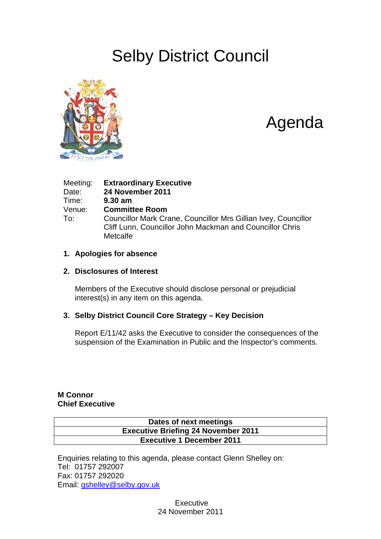# Selby District Council



# Agenda

| Meeting: | <b>Extraordinary Executive</b>                                                                                                         |
|----------|----------------------------------------------------------------------------------------------------------------------------------------|
| Date:    | 24 November 2011                                                                                                                       |
| Time:    | $9.30$ am                                                                                                                              |
| Venue:   | <b>Committee Room</b>                                                                                                                  |
| To:      | Councillor Mark Crane, Councillor Mrs Gillian Ivey, Councillor<br>Cliff Lunn, Councillor John Mackman and Councillor Chris<br>Metcalfe |

#### **1. Apologies for absence**

#### **2. Disclosures of Interest**

Members of the Executive should disclose personal or prejudicial interest(s) in any item on this agenda.

#### **3. Selby District Council Core Strategy – Key Decision**

Report E/11/42 asks the Executive to consider the consequences of the suspension of the Examination in Public and the Inspector's comments.

#### **M Connor Chief Executive**

#### **Dates of next meetings Executive Briefing 24 November 2011 Executive 1 December 2011**

Enquiries relating to this agenda, please contact Glenn Shelley on: Tel: 01757 292007 Fax: 01757 292020 Email: [gshelley@selby.gov.uk](mailto:gshelley@selby.gov.uk)

> **Executive** 24 November 2011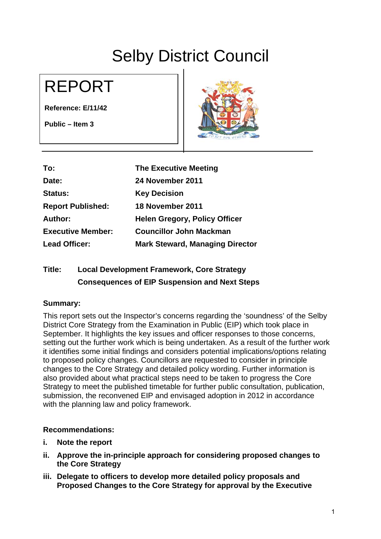# Selby District Council

# REPORT

**Reference: E/11/42** 

**Public – Item 3** 



| To:                      | <b>The Executive Meeting</b>           |
|--------------------------|----------------------------------------|
| Date:                    | 24 November 2011                       |
| <b>Status:</b>           | <b>Key Decision</b>                    |
| <b>Report Published:</b> | 18 November 2011                       |
| Author:                  | <b>Helen Gregory, Policy Officer</b>   |
| <b>Executive Member:</b> | <b>Councillor John Mackman</b>         |
| <b>Lead Officer:</b>     | <b>Mark Steward, Managing Director</b> |

### **Title: Local Development Framework, Core Strategy Consequences of EIP Suspension and Next Steps**

#### **Summary:**

This report sets out the Inspector's concerns regarding the 'soundness' of the Selby District Core Strategy from the Examination in Public (EIP) which took place in September. It highlights the key issues and officer responses to those concerns, setting out the further work which is being undertaken. As a result of the further work it identifies some initial findings and considers potential implications/options relating to proposed policy changes. Councillors are requested to consider in principle changes to the Core Strategy and detailed policy wording. Further information is also provided about what practical steps need to be taken to progress the Core Strategy to meet the published timetable for further public consultation, publication, submission, the reconvened EIP and envisaged adoption in 2012 in accordance with the planning law and policy framework.

#### **Recommendations:**

- **i. Note the report**
- **ii. Approve the in-principle approach for considering proposed changes to the Core Strategy**
- **iii. Delegate to officers to develop more detailed policy proposals and Proposed Changes to the Core Strategy for approval by the Executive**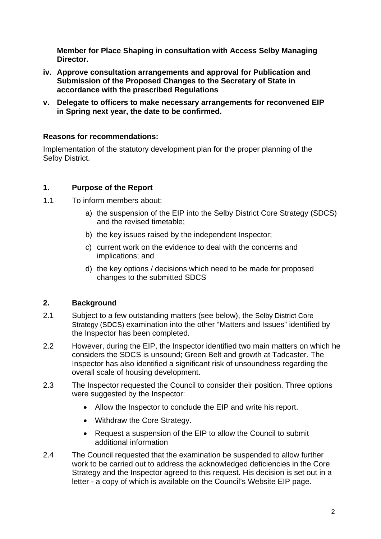**Member for Place Shaping in consultation with Access Selby Managing Director.** 

- **iv. Approve consultation arrangements and approval for Publication and Submission of the Proposed Changes to the Secretary of State in accordance with the prescribed Regulations**
- **v. Delegate to officers to make necessary arrangements for reconvened EIP in Spring next year, the date to be confirmed.**

#### **Reasons for recommendations:**

Implementation of the statutory development plan for the proper planning of the Selby District.

#### **1. Purpose of the Report**

- 1.1 To inform members about:
	- a) the suspension of the EIP into the Selby District Core Strategy (SDCS) and the revised timetable;
	- b) the key issues raised by the independent Inspector;
	- c) current work on the evidence to deal with the concerns and implications; and
	- d) the key options / decisions which need to be made for proposed changes to the submitted SDCS

#### **2. Background**

- 2.1 Subject to a few outstanding matters (see below), the Selby District Core Strategy (SDCS) examination into the other "Matters and Issues" identified by the Inspector has been completed.
- 2.2 However, during the EIP, the Inspector identified two main matters on which he considers the SDCS is unsound; Green Belt and growth at Tadcaster. The Inspector has also identified a significant risk of unsoundness regarding the overall scale of housing development.
- 2.3 The Inspector requested the Council to consider their position. Three options were suggested by the Inspector:
	- Allow the Inspector to conclude the EIP and write his report.
	- Withdraw the Core Strategy.
	- Request a suspension of the EIP to allow the Council to submit additional information
- 2.4 The Council requested that the examination be suspended to allow further work to be carried out to address the acknowledged deficiencies in the Core Strategy and the Inspector agreed to this request. His decision is set out in a letter - a copy of which is available on the Council's Website EIP page.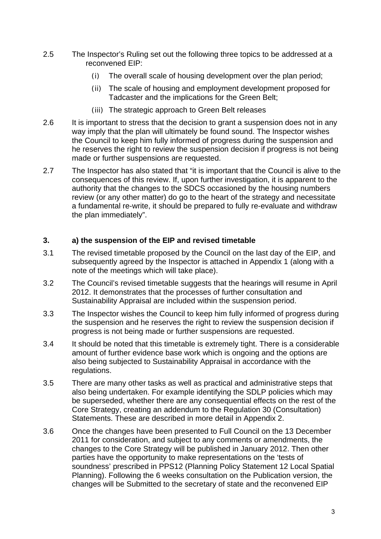- 2.5 The Inspector's Ruling set out the following three topics to be addressed at a reconvened EIP:
	- (i) The overall scale of housing development over the plan period;
	- (ii) The scale of housing and employment development proposed for Tadcaster and the implications for the Green Belt;
	- (iii) The strategic approach to Green Belt releases
- 2.6 It is important to stress that the decision to grant a suspension does not in any way imply that the plan will ultimately be found sound. The Inspector wishes the Council to keep him fully informed of progress during the suspension and he reserves the right to review the suspension decision if progress is not being made or further suspensions are requested.
- 2.7 The Inspector has also stated that "it is important that the Council is alive to the consequences of this review. If, upon further investigation, it is apparent to the authority that the changes to the SDCS occasioned by the housing numbers review (or any other matter) do go to the heart of the strategy and necessitate a fundamental re-write, it should be prepared to fully re-evaluate and withdraw the plan immediately".

#### **3. a) the suspension of the EIP and revised timetable**

- 3.1 The revised timetable proposed by the Council on the last day of the EIP, and subsequently agreed by the Inspector is attached in Appendix 1 (along with a note of the meetings which will take place).
- 3.2 The Council's revised timetable suggests that the hearings will resume in April 2012. It demonstrates that the processes of further consultation and Sustainability Appraisal are included within the suspension period.
- 3.3 The Inspector wishes the Council to keep him fully informed of progress during the suspension and he reserves the right to review the suspension decision if progress is not being made or further suspensions are requested.
- 3.4 It should be noted that this timetable is extremely tight. There is a considerable amount of further evidence base work which is ongoing and the options are also being subjected to Sustainability Appraisal in accordance with the regulations.
- 3.5 There are many other tasks as well as practical and administrative steps that also being undertaken. For example identifying the SDLP policies which may be superseded, whether there are any consequential effects on the rest of the Core Strategy, creating an addendum to the Regulation 30 (Consultation) Statements. These are described in more detail in Appendix 2.
- 3.6 Once the changes have been presented to Full Council on the 13 December 2011 for consideration, and subject to any comments or amendments, the changes to the Core Strategy will be published in January 2012. Then other parties have the opportunity to make representations on the 'tests of soundness' prescribed in PPS12 (Planning Policy Statement 12 Local Spatial Planning). Following the 6 weeks consultation on the Publication version, the changes will be Submitted to the secretary of state and the reconvened EIP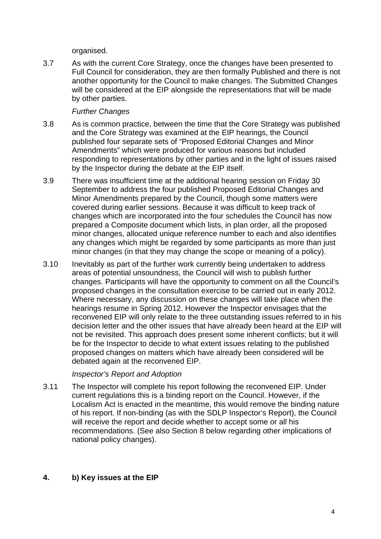organised.

3.7 As with the current Core Strategy, once the changes have been presented to Full Council for consideration, they are then formally Published and there is not another opportunity for the Council to make changes. The Submitted Changes will be considered at the EIP alongside the representations that will be made by other parties.

#### *Further Changes*

- 3.8 As is common practice, between the time that the Core Strategy was published and the Core Strategy was examined at the EIP hearings, the Council published four separate sets of "Proposed Editorial Changes and Minor Amendments" which were produced for various reasons but included responding to representations by other parties and in the light of issues raised by the Inspector during the debate at the EIP itself.
- 3.9 There was insufficient time at the additional hearing session on Friday 30 September to address the four published Proposed Editorial Changes and Minor Amendments prepared by the Council, though some matters were covered during earlier sessions. Because it was difficult to keep track of changes which are incorporated into the four schedules the Council has now prepared a Composite document which lists, in plan order, all the proposed minor changes, allocated unique reference number to each and also identifies any changes which might be regarded by some participants as more than just minor changes (in that they may change the scope or meaning of a policy).
- 3.10 Inevitably as part of the further work currently being undertaken to address areas of potential unsoundness, the Council will wish to publish further changes. Participants will have the opportunity to comment on all the Council's proposed changes in the consultation exercise to be carried out in early 2012. Where necessary, any discussion on these changes will take place when the hearings resume in Spring 2012. However the Inspector envisages that the reconvened EIP will only relate to the three outstanding issues referred to in his decision letter and the other issues that have already been heard at the EIP will not be revisited. This approach does present some inherent conflicts; but it will be for the Inspector to decide to what extent issues relating to the published proposed changes on matters which have already been considered will be debated again at the reconvened EIP.

#### *Inspector's Report and Adoption*

3.11 The Inspector will complete his report following the reconvened EIP. Under current regulations this is a binding report on the Council. However, if the Localism Act is enacted in the meantime, this would remove the binding nature of his report. If non-binding (as with the SDLP Inspector's Report), the Council will receive the report and decide whether to accept some or all his recommendations. (See also Section 8 below regarding other implications of national policy changes).

#### **4. b) Key issues at the EIP**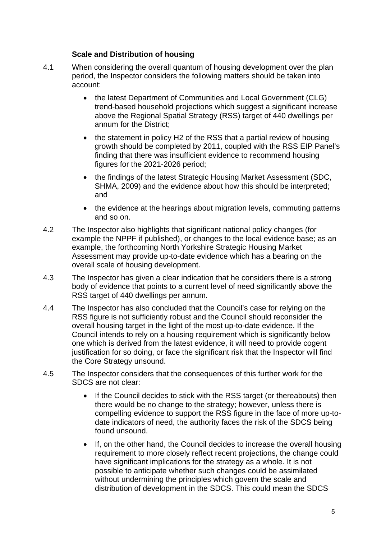#### **Scale and Distribution of housing**

- 4.1 When considering the overall quantum of housing development over the plan period, the Inspector considers the following matters should be taken into account:
	- the latest Department of Communities and Local Government (CLG) trend-based household projections which suggest a significant increase above the Regional Spatial Strategy (RSS) target of 440 dwellings per annum for the District;
	- the statement in policy H2 of the RSS that a partial review of housing growth should be completed by 2011, coupled with the RSS EIP Panel's finding that there was insufficient evidence to recommend housing figures for the 2021-2026 period;
	- the findings of the latest Strategic Housing Market Assessment (SDC, SHMA, 2009) and the evidence about how this should be interpreted; and
	- the evidence at the hearings about migration levels, commuting patterns and so on.
- 4.2 The Inspector also highlights that significant national policy changes (for example the NPPF if published), or changes to the local evidence base; as an example, the forthcoming North Yorkshire Strategic Housing Market Assessment may provide up-to-date evidence which has a bearing on the overall scale of housing development.
- 4.3 The Inspector has given a clear indication that he considers there is a strong body of evidence that points to a current level of need significantly above the RSS target of 440 dwellings per annum.
- 4.4 The Inspector has also concluded that the Council's case for relying on the RSS figure is not sufficiently robust and the Council should reconsider the overall housing target in the light of the most up-to-date evidence. If the Council intends to rely on a housing requirement which is significantly below one which is derived from the latest evidence, it will need to provide cogent justification for so doing, or face the significant risk that the Inspector will find the Core Strategy unsound.
- 4.5 The Inspector considers that the consequences of this further work for the SDCS are not clear:
	- If the Council decides to stick with the RSS target (or thereabouts) then there would be no change to the strategy; however, unless there is compelling evidence to support the RSS figure in the face of more up-todate indicators of need, the authority faces the risk of the SDCS being found unsound.
	- If, on the other hand, the Council decides to increase the overall housing requirement to more closely reflect recent projections, the change could have significant implications for the strategy as a whole. It is not possible to anticipate whether such changes could be assimilated without undermining the principles which govern the scale and distribution of development in the SDCS. This could mean the SDCS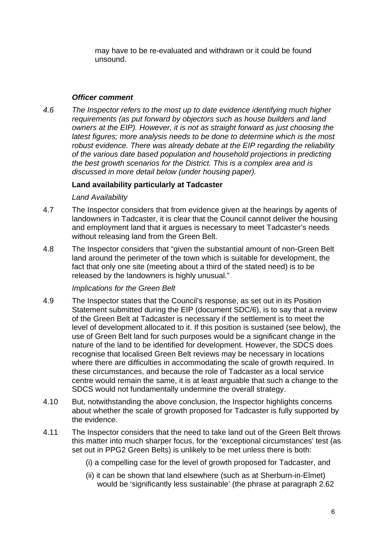may have to be re-evaluated and withdrawn or it could be found unsound.

#### *Officer comment*

*4.6 The Inspector refers to the most up to date evidence identifying much higher requirements (as put forward by objectors such as house builders and land owners at the EIP). However, it is not as straight forward as just choosing the latest figures; more analysis needs to be done to determine which is the most robust evidence. There was already debate at the EIP regarding the reliability of the various date based population and household projections in predicting the best growth scenarios for the District. This is a complex area and is discussed in more detail below (under housing paper).* 

#### **Land availability particularly at Tadcaster**

#### *Land Availability*

- 4.7 The Inspector considers that from evidence given at the hearings by agents of landowners in Tadcaster, it is clear that the Council cannot deliver the housing and employment land that it argues is necessary to meet Tadcaster's needs without releasing land from the Green Belt.
- 4.8 The Inspector considers that "given the substantial amount of non-Green Belt land around the perimeter of the town which is suitable for development, the fact that only one site (meeting about a third of the stated need) is to be released by the landowners is highly unusual."

#### *Implications for the Green Belt*

- 4.9 The Inspector states that the Council's response, as set out in its Position Statement submitted during the EIP (document SDC/6), is to say that a review of the Green Belt at Tadcaster is necessary if the settlement is to meet the level of development allocated to it. If this position is sustained (see below), the use of Green Belt land for such purposes would be a significant change in the nature of the land to be identified for development. However, the SDCS does recognise that localised Green Belt reviews may be necessary in locations where there are difficulties in accommodating the scale of growth required. In these circumstances, and because the role of Tadcaster as a local service centre would remain the same, it is at least arguable that such a change to the SDCS would not fundamentally undermine the overall strategy.
- 4.10 But, notwithstanding the above conclusion, the Inspector highlights concerns about whether the scale of growth proposed for Tadcaster is fully supported by the evidence.
- 4.11 The Inspector considers that the need to take land out of the Green Belt throws this matter into much sharper focus, for the 'exceptional circumstances' test (as set out in PPG2 Green Belts) is unlikely to be met unless there is both:
	- (i) a compelling case for the level of growth proposed for Tadcaster, and
	- (ii) it can be shown that land elsewhere (such as at Sherburn-in-Elmet) would be 'significantly less sustainable' (the phrase at paragraph 2.62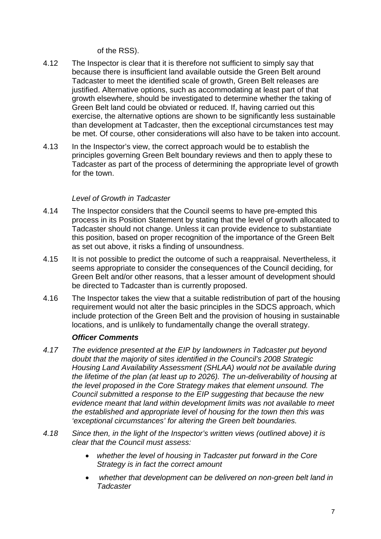of the RSS).

- 4.12 The Inspector is clear that it is therefore not sufficient to simply say that because there is insufficient land available outside the Green Belt around Tadcaster to meet the identified scale of growth, Green Belt releases are justified. Alternative options, such as accommodating at least part of that growth elsewhere, should be investigated to determine whether the taking of Green Belt land could be obviated or reduced. If, having carried out this exercise, the alternative options are shown to be significantly less sustainable than development at Tadcaster, then the exceptional circumstances test may be met. Of course, other considerations will also have to be taken into account.
- 4.13 In the Inspector's view, the correct approach would be to establish the principles governing Green Belt boundary reviews and then to apply these to Tadcaster as part of the process of determining the appropriate level of growth for the town.

#### *Level of Growth in Tadcaster*

- 4.14 The Inspector considers that the Council seems to have pre-empted this process in its Position Statement by stating that the level of growth allocated to Tadcaster should not change. Unless it can provide evidence to substantiate this position, based on proper recognition of the importance of the Green Belt as set out above, it risks a finding of unsoundness.
- 4.15 It is not possible to predict the outcome of such a reappraisal. Nevertheless, it seems appropriate to consider the consequences of the Council deciding, for Green Belt and/or other reasons, that a lesser amount of development should be directed to Tadcaster than is currently proposed.
- 4.16 The Inspector takes the view that a suitable redistribution of part of the housing requirement would not alter the basic principles in the SDCS approach, which include protection of the Green Belt and the provision of housing in sustainable locations, and is unlikely to fundamentally change the overall strategy.

#### *Officer Comments*

- *4.17 The evidence presented at the EIP by landowners in Tadcaster put beyond doubt that the majority of sites identified in the Council's 2008 Strategic Housing Land Availability Assessment (SHLAA) would not be available during the lifetime of the plan (at least up to 2026). The un-deliverability of housing at the level proposed in the Core Strategy makes that element unsound. The Council submitted a response to the EIP suggesting that because the new evidence meant that land within development limits was not available to meet the established and appropriate level of housing for the town then this was 'exceptional circumstances' for altering the Green belt boundaries.*
- *4.18 Since then, in the light of the Inspector's written views (outlined above) it is clear that the Council must assess:* 
	- *whether the level of housing in Tadcaster put forward in the Core Strategy is in fact the correct amount*
	- • *whether that development can be delivered on non-green belt land in Tadcaster*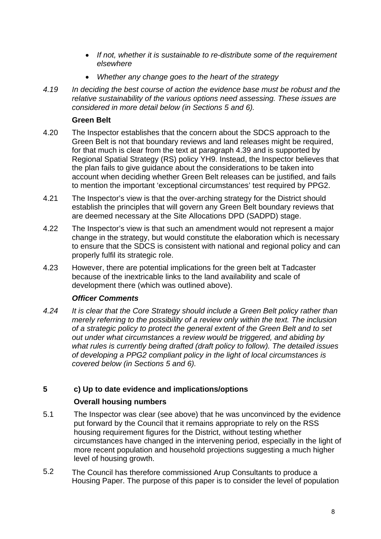- *If not, whether it is sustainable to re-distribute some of the requirement elsewhere*
- *Whether any change goes to the heart of the strategy*
- *4.19 In deciding the best course of action the evidence base must be robust and the relative sustainability of the various options need assessing. These issues are considered in more detail below (in Sections 5 and 6).*

#### **Green Belt**

- 4.20 The Inspector establishes that the concern about the SDCS approach to the Green Belt is not that boundary reviews and land releases might be required, for that much is clear from the text at paragraph 4.39 and is supported by Regional Spatial Strategy (RS) policy YH9. Instead, the Inspector believes that the plan fails to give guidance about the considerations to be taken into account when deciding whether Green Belt releases can be justified, and fails to mention the important 'exceptional circumstances' test required by PPG2.
- 4.21 The Inspector's view is that the over-arching strategy for the District should establish the principles that will govern any Green Belt boundary reviews that are deemed necessary at the Site Allocations DPD (SADPD) stage.
- 4.22 The Inspector's view is that such an amendment would not represent a major change in the strategy, but would constitute the elaboration which is necessary to ensure that the SDCS is consistent with national and regional policy and can properly fulfil its strategic role.
- 4.23 However, there are potential implications for the green belt at Tadcaster because of the inextricable links to the land availability and scale of development there (which was outlined above).

#### *Officer Comments*

*4.24 It is clear that the Core Strategy should include a Green Belt policy rather than merely referring to the possibility of a review only within the text. The inclusion of a strategic policy to protect the general extent of the Green Belt and to set out under what circumstances a review would be triggered, and abiding by what rules is currently being drafted (draft policy to follow). The detailed issues of developing a PPG2 compliant policy in the light of local circumstances is covered below (in Sections 5 and 6).* 

#### **5 c) Up to date evidence and implications/options**

#### **Overall housing numbers**

- 5.1 The Inspector was clear (see above) that he was unconvinced by the evidence put forward by the Council that it remains appropriate to rely on the RSS housing requirement figures for the District, without testing whether circumstances have changed in the intervening period, especially in the light of more recent population and household projections suggesting a much higher level of housing growth.
- 5.2 The Council has therefore commissioned Arup Consultants to produce a Housing Paper. The purpose of this paper is to consider the level of population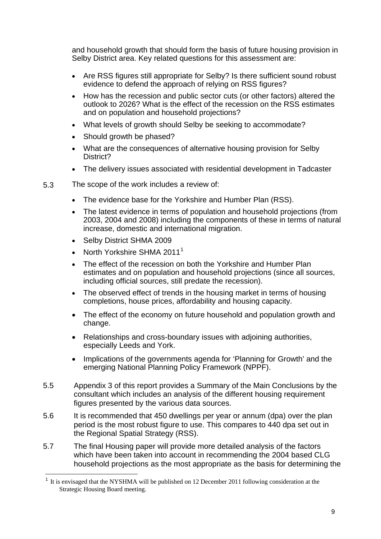<span id="page-9-0"></span>and household growth that should form the basis of future housing provision in Selby District area. Key related questions for this assessment are:

- Are RSS figures still appropriate for Selby? Is there sufficient sound robust evidence to defend the approach of relying on RSS figures?
- How has the recession and public sector cuts (or other factors) altered the outlook to 2026? What is the effect of the recession on the RSS estimates and on population and household projections?
- What levels of growth should Selby be seeking to accommodate?
- Should growth be phased?
- What are the consequences of alternative housing provision for Selby District?
- The delivery issues associated with residential development in Tadcaster
- 5.3 The scope of the work includes a review of:
	- The evidence base for the Yorkshire and Humber Plan (RSS).
	- The latest evidence in terms of population and household projections (from 2003, 2004 and 2008) including the components of these in terms of natural increase, domestic and international migration.
	- Selby District SHMA 2009

-

- North Yorkshire SHMA 20[1](#page-9-0)1<sup>1</sup>
- The effect of the recession on both the Yorkshire and Humber Plan estimates and on population and household projections (since all sources, including official sources, still predate the recession).
- The observed effect of trends in the housing market in terms of housing completions, house prices, affordability and housing capacity.
- The effect of the economy on future household and population growth and change.
- Relationships and cross-boundary issues with adjoining authorities, especially Leeds and York.
- Implications of the governments agenda for 'Planning for Growth' and the emerging National Planning Policy Framework (NPPF).
- 5.5 Appendix 3 of this report provides a Summary of the Main Conclusions by the consultant which includes an analysis of the different housing requirement figures presented by the various data sources.
- 5.6 It is recommended that 450 dwellings per year or annum (dpa) over the plan period is the most robust figure to use. This compares to 440 dpa set out in the Regional Spatial Strategy (RSS).
- 5.7 The final Housing paper will provide more detailed analysis of the factors which have been taken into account in recommending the 2004 based CLG household projections as the most appropriate as the basis for determining the

<sup>1</sup> It is envisaged that the NYSHMA will be published on 12 December 2011 following consideration at the Strategic Housing Board meeting.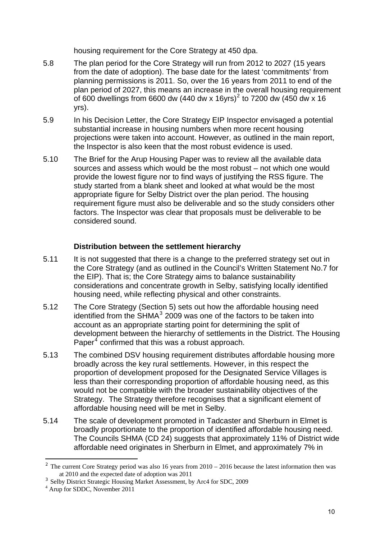housing requirement for the Core Strategy at 450 dpa.

- <span id="page-10-0"></span>5.8 The plan period for the Core Strategy will run from 2012 to 2027 (15 years from the date of adoption). The base date for the latest 'commitments' from planning permissions is 2011. So, over the 16 years from 2011 to end of the plan period of 2027, this means an increase in the overall housing requirement of 600 dwellings from 6600 dw (440 dw x 16yrs)<sup>[2](#page-10-0)</sup> to 7200 dw (450 dw x 16 yrs).
- 5.9 In his Decision Letter, the Core Strategy EIP Inspector envisaged a potential substantial increase in housing numbers when more recent housing projections were taken into account. However, as outlined in the main report, the Inspector is also keen that the most robust evidence is used.
- 5.10 The Brief for the Arup Housing Paper was to review all the available data sources and assess which would be the most robust – not which one would provide the lowest figure nor to find ways of justifying the RSS figure. The study started from a blank sheet and looked at what would be the most appropriate figure for Selby District over the plan period. The housing requirement figure must also be deliverable and so the study considers other factors. The Inspector was clear that proposals must be deliverable to be considered sound.

#### **Distribution between the settlement hierarchy**

- 5.11 It is not suggested that there is a change to the preferred strategy set out in the Core Strategy (and as outlined in the Council's Written Statement No.7 for the EIP). That is; the Core Strategy aims to balance sustainability considerations and concentrate growth in Selby, satisfying locally identified housing need, while reflecting physical and other constraints.
- 5.12 The Core Strategy (Section 5) sets out how the affordable housing need identified from the  $SHMA<sup>3</sup>$  $SHMA<sup>3</sup>$  $SHMA<sup>3</sup>$  2009 was one of the factors to be taken into account as an appropriate starting point for determining the split of development between the hierarchy of settlements in the District. The Housing Paper $<sup>4</sup>$  $<sup>4</sup>$  $<sup>4</sup>$  confirmed that this was a robust approach.</sup>
- 5.13 The combined DSV housing requirement distributes affordable housing more broadly across the key rural settlements. However, in this respect the proportion of development proposed for the Designated Service Villages is less than their corresponding proportion of affordable housing need, as this would not be compatible with the broader sustainability objectives of the Strategy. The Strategy therefore recognises that a significant element of affordable housing need will be met in Selby.
- 5.14 The scale of development promoted in Tadcaster and Sherburn in Elmet is broadly proportionate to the proportion of identified affordable housing need. The Councils SHMA (CD 24) suggests that approximately 11% of District wide affordable need originates in Sherburn in Elmet, and approximately 7% in

j

 $2$  The current Core Strategy period was also 16 years from  $2010 - 2016$  because the latest information then was at 2010 and the expected date of adoption was 2011

<sup>&</sup>lt;sup>3</sup> Selby District Strategic Housing Market Assessment, by Arc4 for SDC, 2009

<sup>&</sup>lt;sup>4</sup> Arup for SDDC, November 2011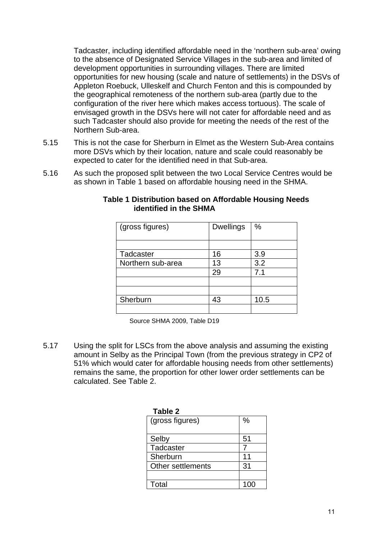Tadcaster, including identified affordable need in the 'northern sub-area' owing to the absence of Designated Service Villages in the sub-area and limited of development opportunities in surrounding villages. There are limited opportunities for new housing (scale and nature of settlements) in the DSVs of Appleton Roebuck, Ulleskelf and Church Fenton and this is compounded by the geographical remoteness of the northern sub-area (partly due to the configuration of the river here which makes access tortuous). The scale of envisaged growth in the DSVs here will not cater for affordable need and as such Tadcaster should also provide for meeting the needs of the rest of the Northern Sub-area.

- 5.15 This is not the case for Sherburn in Elmet as the Western Sub-Area contains more DSVs which by their location, nature and scale could reasonably be expected to cater for the identified need in that Sub-area.
- 5.16 As such the proposed split between the two Local Service Centres would be as shown in Table 1 based on affordable housing need in the SHMA.

| (gross figures)   | <b>Dwellings</b> | %    |
|-------------------|------------------|------|
|                   |                  |      |
|                   |                  |      |
| Tadcaster         | 16               | 3.9  |
| Northern sub-area | 13               | 3.2  |
|                   | 29               | 7.1  |
|                   |                  |      |
|                   |                  |      |
| Sherburn          | 43               | 10.5 |
|                   |                  |      |

#### **Table 1 Distribution based on Affordable Housing Needs identified in the SHMA**

Source SHMA 2009, Table D19

5.17 Using the split for LSCs from the above analysis and assuming the existing amount in Selby as the Principal Town (from the previous strategy in CP2 of 51% which would cater for affordable housing needs from other settlements) remains the same, the proportion for other lower order settlements can be calculated. See Table 2.

| Table 2           |      |
|-------------------|------|
| (gross figures)   | $\%$ |
| Selby             | 51   |
| Tadcaster         |      |
| Sherburn          | 11   |
| Other settlements | 31   |
|                   |      |
| Total             |      |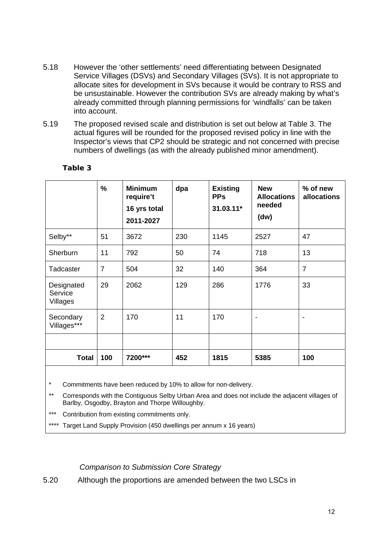- 5.18 However the 'other settlements' need differentiating between Designated Service Villages (DSVs) and Secondary Villages (SVs). It is not appropriate to allocate sites for development in SVs because it would be contrary to RSS and be unsustainable. However the contribution SVs are already making by what's already committed through planning permissions for 'windfalls' can be taken into account.
- 5.19 The proposed revised scale and distribution is set out below at Table 3. The actual figures will be rounded for the proposed revised policy in line with the Inspector's views that CP2 should be strategic and not concerned with precise numbers of dwellings (as with the already published minor amendment).

|                                   | $\frac{9}{6}$  | <b>Minimum</b><br>require't<br>16 yrs total<br>2011-2027 | dpa | <b>Existing</b><br><b>PPs</b><br>31.03.11* | <b>New</b><br><b>Allocations</b><br>needed<br>(dw) | % of new<br><b>allocations</b> |
|-----------------------------------|----------------|----------------------------------------------------------|-----|--------------------------------------------|----------------------------------------------------|--------------------------------|
| Selby**                           | 51             | 3672                                                     | 230 | 1145                                       | 2527                                               | 47                             |
| Sherburn                          | 11             | 792                                                      | 50  | 74                                         | 718                                                | 13                             |
| Tadcaster                         | $\overline{7}$ | 504                                                      | 32  | 140                                        | 364                                                | $\overline{7}$                 |
| Designated<br>Service<br>Villages | 29             | 2062                                                     | 129 | 286                                        | 1776                                               | 33                             |
| Secondary<br>Villages***          | $\overline{2}$ | 170                                                      | 11  | 170                                        | $\overline{\phantom{0}}$                           |                                |
|                                   |                |                                                          |     |                                            |                                                    |                                |
| <b>Total</b>                      | 100            | 7200***                                                  | 452 | 1815                                       | 5385                                               | 100                            |

#### **Table 3**

Commitments have been reduced by 10% to allow for non-delivery.

Corresponds with the Contiguous Selby Urban Area and does not include the adjacent villages of Barlby, Osgodby, Brayton and Thorpe Willoughby.

Contribution from existing commitments only.

\*\*\*\* Target Land Supply Provision (450 dwellings per annum x 16 years)

*Comparison to Submission Core Strategy* 

5.20 Although the proportions are amended between the two LSCs in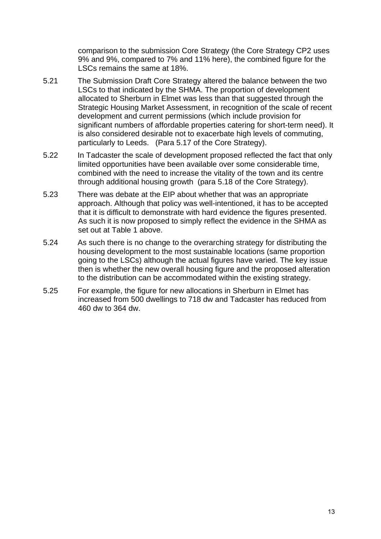comparison to the submission Core Strategy (the Core Strategy CP2 uses 9% and 9%, compared to 7% and 11% here), the combined figure for the LSCs remains the same at 18%.

- 5.21 The Submission Draft Core Strategy altered the balance between the two LSCs to that indicated by the SHMA. The proportion of development allocated to Sherburn in Elmet was less than that suggested through the Strategic Housing Market Assessment, in recognition of the scale of recent development and current permissions (which include provision for significant numbers of affordable properties catering for short-term need). It is also considered desirable not to exacerbate high levels of commuting, particularly to Leeds. (Para 5.17 of the Core Strategy).
- 5.22 In Tadcaster the scale of development proposed reflected the fact that only limited opportunities have been available over some considerable time, combined with the need to increase the vitality of the town and its centre through additional housing growth (para 5.18 of the Core Strategy).
- 5.23 There was debate at the EIP about whether that was an appropriate approach. Although that policy was well-intentioned, it has to be accepted that it is difficult to demonstrate with hard evidence the figures presented. As such it is now proposed to simply reflect the evidence in the SHMA as set out at Table 1 above.
- 5.24 As such there is no change to the overarching strategy for distributing the housing development to the most sustainable locations (same proportion going to the LSCs) although the actual figures have varied. The key issue then is whether the new overall housing figure and the proposed alteration to the distribution can be accommodated within the existing strategy.
- 5.25 For example, the figure for new allocations in Sherburn in Elmet has increased from 500 dwellings to 718 dw and Tadcaster has reduced from 460 dw to 364 dw.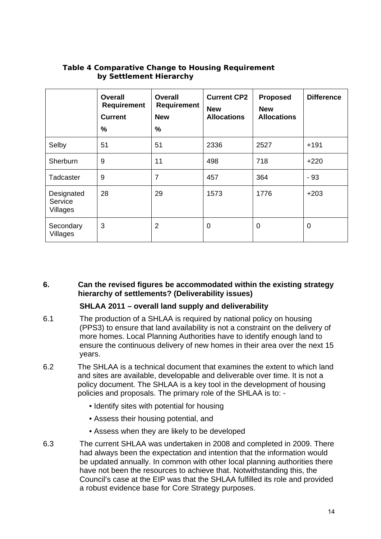|                                   | <b>Overall</b><br><b>Requirement</b><br><b>Current</b><br>$\%$ | <b>Overall</b><br><b>Requirement</b><br><b>New</b><br>$\%$ | <b>Current CP2</b><br><b>New</b><br><b>Allocations</b> | <b>Proposed</b><br><b>New</b><br><b>Allocations</b> | <b>Difference</b> |
|-----------------------------------|----------------------------------------------------------------|------------------------------------------------------------|--------------------------------------------------------|-----------------------------------------------------|-------------------|
| Selby                             | 51                                                             | 51                                                         | 2336                                                   | 2527                                                | $+191$            |
| Sherburn                          | 9                                                              | 11                                                         | 498                                                    | 718                                                 | $+220$            |
| Tadcaster                         | 9                                                              | 7                                                          | 457                                                    | 364                                                 | $-93$             |
| Designated<br>Service<br>Villages | 28                                                             | 29                                                         | 1573                                                   | 1776                                                | $+203$            |
| Secondary<br>Villages             | 3                                                              | 2                                                          | $\mathbf 0$                                            | 0                                                   | 0                 |

#### **Table 4 Comparative Change to Housing Requirement by Settlement Hierarchy**

**6. Can the revised figures be accommodated within the existing strategy hierarchy of settlements? (Deliverability issues)** 

#### **SHLAA 2011 – overall land supply and deliverability**

- 6.1 The production of a SHLAA is required by national policy on housing (PPS3) to ensure that land availability is not a constraint on the delivery of more homes. Local Planning Authorities have to identify enough land to ensure the continuous delivery of new homes in their area over the next 15 years.
- 6.2 The SHLAA is a technical document that examines the extent to which land and sites are available, developable and deliverable over time. It is not a policy document. The SHLAA is a key tool in the development of housing policies and proposals. The primary role of the SHLAA is to: -
	- Identify sites with potential for housing
	- Assess their housing potential, and
	- Assess when they are likely to be developed
- 6.3 The current SHLAA was undertaken in 2008 and completed in 2009. There had always been the expectation and intention that the information would be updated annually. In common with other local planning authorities there have not been the resources to achieve that. Notwithstanding this, the Council's case at the EIP was that the SHLAA fulfilled its role and provided a robust evidence base for Core Strategy purposes.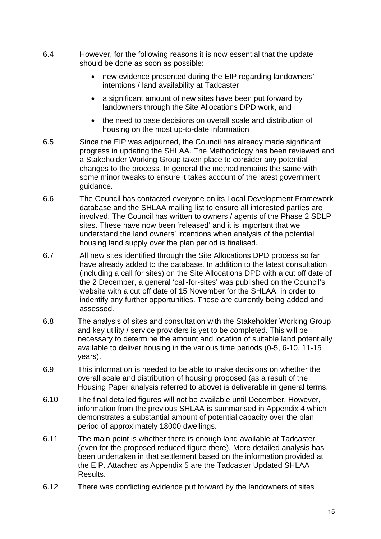- 6.4 However, for the following reasons it is now essential that the update should be done as soon as possible:
	- new evidence presented during the EIP regarding landowners' intentions / land availability at Tadcaster
	- a significant amount of new sites have been put forward by landowners through the Site Allocations DPD work, and
	- the need to base decisions on overall scale and distribution of housing on the most up-to-date information
- 6.5 Since the EIP was adjourned, the Council has already made significant progress in updating the SHLAA. The Methodology has been reviewed and a Stakeholder Working Group taken place to consider any potential changes to the process. In general the method remains the same with some minor tweaks to ensure it takes account of the latest government guidance.
- 6.6 The Council has contacted everyone on its Local Development Framework database and the SHLAA mailing list to ensure all interested parties are involved. The Council has written to owners / agents of the Phase 2 SDLP sites. These have now been 'released' and it is important that we understand the land owners' intentions when analysis of the potential housing land supply over the plan period is finalised.
- 6.7 All new sites identified through the Site Allocations DPD process so far have already added to the database. In addition to the latest consultation (including a call for sites) on the Site Allocations DPD with a cut off date of the 2 December, a general 'call-for-sites' was published on the Council's website with a cut off date of 15 November for the SHLAA, in order to indentify any further opportunities. These are currently being added and assessed.
- 6.8 The analysis of sites and consultation with the Stakeholder Working Group and key utility / service providers is yet to be completed. This will be necessary to determine the amount and location of suitable land potentially available to deliver housing in the various time periods (0-5, 6-10, 11-15 years).
- 6.9 This information is needed to be able to make decisions on whether the overall scale and distribution of housing proposed (as a result of the Housing Paper analysis referred to above) is deliverable in general terms.
- 6.10 The final detailed figures will not be available until December. However, information from the previous SHLAA is summarised in Appendix 4 which demonstrates a substantial amount of potential capacity over the plan period of approximately 18000 dwellings.
- 6.11 The main point is whether there is enough land available at Tadcaster (even for the proposed reduced figure there). More detailed analysis has been undertaken in that settlement based on the information provided at the EIP. Attached as Appendix 5 are the Tadcaster Updated SHLAA Results.
- 6.12 There was conflicting evidence put forward by the landowners of sites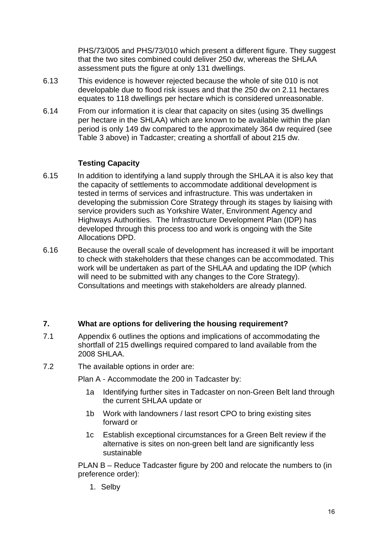PHS/73/005 and PHS/73/010 which present a different figure. They suggest that the two sites combined could deliver 250 dw, whereas the SHLAA assessment puts the figure at only 131 dwellings.

- 6.13 This evidence is however rejected because the whole of site 010 is not developable due to flood risk issues and that the 250 dw on 2.11 hectares equates to 118 dwellings per hectare which is considered unreasonable.
- 6.14 From our information it is clear that capacity on sites (using 35 dwellings per hectare in the SHLAA) which are known to be available within the plan period is only 149 dw compared to the approximately 364 dw required (see Table 3 above) in Tadcaster; creating a shortfall of about 215 dw.

#### **Testing Capacity**

- 6.15 In addition to identifying a land supply through the SHLAA it is also key that the capacity of settlements to accommodate additional development is tested in terms of services and infrastructure. This was undertaken in developing the submission Core Strategy through its stages by liaising with service providers such as Yorkshire Water, Environment Agency and Highways Authorities. The Infrastructure Development Plan (IDP) has developed through this process too and work is ongoing with the Site Allocations DPD.
- 6.16 Because the overall scale of development has increased it will be important to check with stakeholders that these changes can be accommodated. This work will be undertaken as part of the SHLAA and updating the IDP (which will need to be submitted with any changes to the Core Strategy). Consultations and meetings with stakeholders are already planned.

#### **7. What are options for delivering the housing requirement?**

- 7.1 Appendix 6 outlines the options and implications of accommodating the shortfall of 215 dwellings required compared to land available from the 2008 SHLAA.
- 7.2 The available options in order are:

Plan A - Accommodate the 200 in Tadcaster by:

- 1a Identifying further sites in Tadcaster on non-Green Belt land through the current SHLAA update or
- 1b Work with landowners / last resort CPO to bring existing sites forward or
- 1c Establish exceptional circumstances for a Green Belt review if the alternative is sites on non-green belt land are significantly less sustainable

PLAN B – Reduce Tadcaster figure by 200 and relocate the numbers to (in preference order):

1. Selby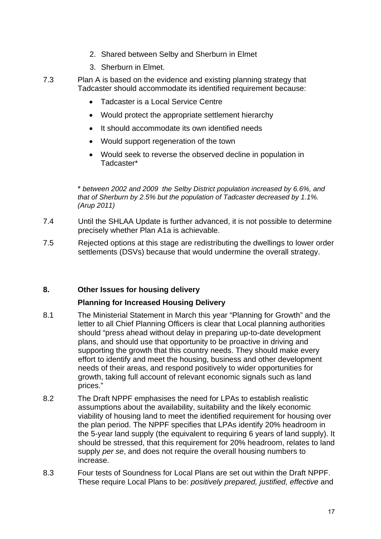- 2. Shared between Selby and Sherburn in Elmet
- 3. Sherburn in Elmet.
- 7.3 Plan A is based on the evidence and existing planning strategy that Tadcaster should accommodate its identified requirement because:
	- Tadcaster is a Local Service Centre
	- Would protect the appropriate settlement hierarchy
	- It should accommodate its own identified needs
	- Would support regeneration of the town
	- Would seek to reverse the observed decline in population in Tadcaster\*

\* *between 2002 and 2009 the Selby District population increased by 6.6%, and that of Sherburn by 2.5% but the population of Tadcaster decreased by 1.1%. (Arup 2011)* 

- 7.4 Until the SHLAA Update is further advanced, it is not possible to determine precisely whether Plan A1a is achievable.
- 7.5 Rejected options at this stage are redistributing the dwellings to lower order settlements (DSVs) because that would undermine the overall strategy.

#### **8. Other Issues for housing delivery**

#### **Planning for Increased Housing Delivery**

- 8.1 The Ministerial Statement in March this year "Planning for Growth" and the letter to all Chief Planning Officers is clear that Local planning authorities should "press ahead without delay in preparing up-to-date development plans, and should use that opportunity to be proactive in driving and supporting the growth that this country needs. They should make every effort to identify and meet the housing, business and other development needs of their areas, and respond positively to wider opportunities for growth, taking full account of relevant economic signals such as land prices."
- 8.2 The Draft NPPF emphasises the need for LPAs to establish realistic assumptions about the availability, suitability and the likely economic viability of housing land to meet the identified requirement for housing over the plan period. The NPPF specifies that LPAs identify 20% headroom in the 5-year land supply (the equivalent to requiring 6 years of land supply). It should be stressed, that this requirement for 20% headroom, relates to land supply *per se*, and does not require the overall housing numbers to increase.
- 8.3 Four tests of Soundness for Local Plans are set out within the Draft NPPF. These require Local Plans to be: *positively prepared, justified, effective* and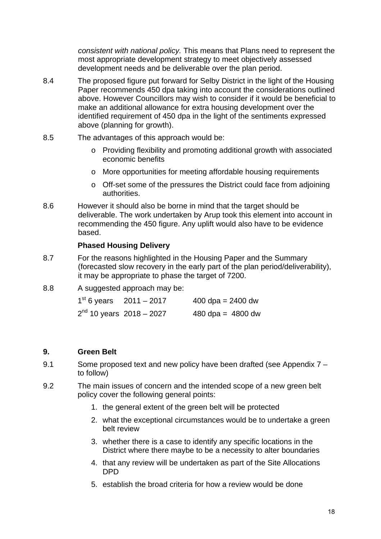*consistent with national policy.* This means that Plans need to represent the most appropriate development strategy to meet objectively assessed development needs and be deliverable over the plan period.

- 8.4 The proposed figure put forward for Selby District in the light of the Housing Paper recommends 450 dpa taking into account the considerations outlined above. However Councillors may wish to consider if it would be beneficial to make an additional allowance for extra housing development over the identified requirement of 450 dpa in the light of the sentiments expressed above (planning for growth).
- 8.5 The advantages of this approach would be:
	- o Providing flexibility and promoting additional growth with associated economic benefits
	- o More opportunities for meeting affordable housing requirements
	- o Off-set some of the pressures the District could face from adjoining authorities.
- 8.6 However it should also be borne in mind that the target should be deliverable. The work undertaken by Arup took this element into account in recommending the 450 figure. Any uplift would also have to be evidence based.

#### **Phased Housing Delivery**

- 8.7 For the reasons highlighted in the Housing Paper and the Summary (forecasted slow recovery in the early part of the plan period/deliverability), it may be appropriate to phase the target of 7200.
- 8.8 A suggested approach may be:

| $1st$ 6 years $2011 - 2017$          | 400 dpa = $2400$ dw |
|--------------------------------------|---------------------|
| 2 <sup>nd</sup> 10 years 2018 – 2027 | 480 dpa = $4800$ dw |

#### **9. Green Belt**

- 9.1 Some proposed text and new policy have been drafted (see Appendix 7 to follow)
- 9.2 The main issues of concern and the intended scope of a new green belt policy cover the following general points:
	- 1. the general extent of the green belt will be protected
	- 2. what the exceptional circumstances would be to undertake a green belt review
	- 3. whether there is a case to identify any specific locations in the District where there maybe to be a necessity to alter boundaries
	- 4. that any review will be undertaken as part of the Site Allocations DPD
	- 5. establish the broad criteria for how a review would be done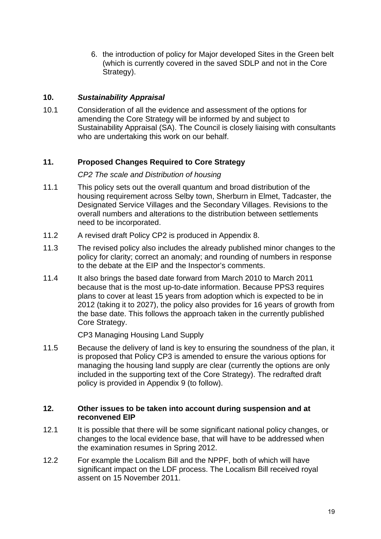6. the introduction of policy for Major developed Sites in the Green belt (which is currently covered in the saved SDLP and not in the Core Strategy).

#### **10.** *Sustainability Appraisal*

10.1 Consideration of all the evidence and assessment of the options for amending the Core Strategy will be informed by and subject to Sustainability Appraisal (SA). The Council is closely liaising with consultants who are undertaking this work on our behalf.

#### **11. Proposed Changes Required to Core Strategy**

#### *CP2 The scale and Distribution of housing*

- 11.1 This policy sets out the overall quantum and broad distribution of the housing requirement across Selby town, Sherburn in Elmet, Tadcaster, the Designated Service Villages and the Secondary Villages. Revisions to the overall numbers and alterations to the distribution between settlements need to be incorporated.
- 11.2 A revised draft Policy CP2 is produced in Appendix 8.
- 11.3 The revised policy also includes the already published minor changes to the policy for clarity; correct an anomaly; and rounding of numbers in response to the debate at the EIP and the Inspector's comments.
- 11.4 It also brings the based date forward from March 2010 to March 2011 because that is the most up-to-date information. Because PPS3 requires plans to cover at least 15 years from adoption which is expected to be in 2012 (taking it to 2027), the policy also provides for 16 years of growth from the base date. This follows the approach taken in the currently published Core Strategy.

CP3 Managing Housing Land Supply

11.5 Because the delivery of land is key to ensuring the soundness of the plan, it is proposed that Policy CP3 is amended to ensure the various options for managing the housing land supply are clear (currently the options are only included in the supporting text of the Core Strategy). The redrafted draft policy is provided in Appendix 9 (to follow).

#### **12. Other issues to be taken into account during suspension and at reconvened EIP**

- 12.1 It is possible that there will be some significant national policy changes, or changes to the local evidence base, that will have to be addressed when the examination resumes in Spring 2012.
- 12.2 For example the Localism Bill and the NPPF, both of which will have significant impact on the LDF process. The Localism Bill received royal assent on 15 November 2011.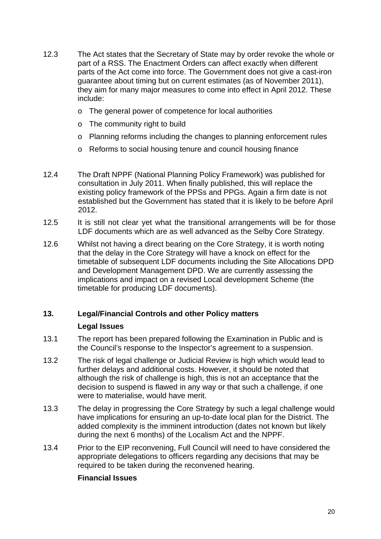- 12.3 The Act states that the Secretary of State may by order revoke the whole or part of a RSS. The Enactment Orders can affect exactly when different parts of the Act come into force. The Government does not give a cast-iron guarantee about timing but on current estimates (as of November 2011), they aim for many major measures to come into effect in April 2012. These include:
	- o The general power of competence for local authorities
	- o The community right to build
	- o Planning reforms including the changes to planning enforcement rules
	- o Reforms to social housing tenure and council housing finance
- 12.4 The Draft NPPF (National Planning Policy Framework) was published for consultation in July 2011. When finally published, this will replace the existing policy framework of the PPSs and PPGs. Again a firm date is not established but the Government has stated that it is likely to be before April 2012.
- 12.5 It is still not clear yet what the transitional arrangements will be for those LDF documents which are as well advanced as the Selby Core Strategy.
- 12.6 Whilst not having a direct bearing on the Core Strategy, it is worth noting that the delay in the Core Strategy will have a knock on effect for the timetable of subsequent LDF documents including the Site Allocations DPD and Development Management DPD. We are currently assessing the implications and impact on a revised Local development Scheme (the timetable for producing LDF documents).

#### **13. Legal/Financial Controls and other Policy matters**

#### **Legal Issues**

- 13.1 The report has been prepared following the Examination in Public and is the Council's response to the Inspector's agreement to a suspension.
- 13.2 The risk of legal challenge or Judicial Review is high which would lead to further delays and additional costs. However, it should be noted that although the risk of challenge is high, this is not an acceptance that the decision to suspend is flawed in any way or that such a challenge, if one were to materialise, would have merit.
- 13.3 The delay in progressing the Core Strategy by such a legal challenge would have implications for ensuring an up-to-date local plan for the District. The added complexity is the imminent introduction (dates not known but likely during the next 6 months) of the Localism Act and the NPPF.
- 13.4 Prior to the EIP reconvening, Full Council will need to have considered the appropriate delegations to officers regarding any decisions that may be required to be taken during the reconvened hearing.

#### **Financial Issues**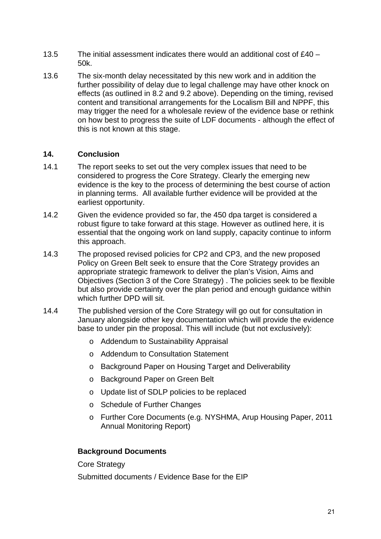- 13.5 The initial assessment indicates there would an additional cost of  $f40 -$ 50k.
- 13.6 The six-month delay necessitated by this new work and in addition the further possibility of delay due to legal challenge may have other knock on effects (as outlined in 8.2 and 9.2 above). Depending on the timing, revised content and transitional arrangements for the Localism Bill and NPPF, this may trigger the need for a wholesale review of the evidence base or rethink on how best to progress the suite of LDF documents - although the effect of this is not known at this stage.

#### **14. Conclusion**

- 14.1 The report seeks to set out the very complex issues that need to be considered to progress the Core Strategy. Clearly the emerging new evidence is the key to the process of determining the best course of action in planning terms. All available further evidence will be provided at the earliest opportunity.
- 14.2 Given the evidence provided so far, the 450 dpa target is considered a robust figure to take forward at this stage. However as outlined here, it is essential that the ongoing work on land supply, capacity continue to inform this approach.
- 14.3 The proposed revised policies for CP2 and CP3, and the new proposed Policy on Green Belt seek to ensure that the Core Strategy provides an appropriate strategic framework to deliver the plan's Vision, Aims and Objectives (Section 3 of the Core Strategy) . The policies seek to be flexible but also provide certainty over the plan period and enough guidance within which further DPD will sit.
- 14.4 The published version of the Core Strategy will go out for consultation in January alongside other key documentation which will provide the evidence base to under pin the proposal. This will include (but not exclusively):
	- o Addendum to Sustainability Appraisal
	- o Addendum to Consultation Statement
	- o Background Paper on Housing Target and Deliverability
	- o Background Paper on Green Belt
	- o Update list of SDLP policies to be replaced
	- o Schedule of Further Changes
	- o Further Core Documents (e.g. NYSHMA, Arup Housing Paper, 2011 Annual Monitoring Report)

#### **Background Documents**

Core Strategy

Submitted documents / Evidence Base for the EIP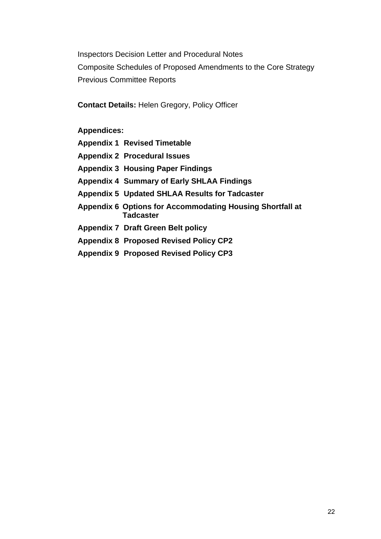Inspectors Decision Letter and Procedural Notes Composite Schedules of Proposed Amendments to the Core Strategy Previous Committee Reports

**Contact Details:** Helen Gregory, Policy Officer

**Appendices:** 

**Appendix 1 Revised Timetable** 

- **Appendix 2 Procedural Issues**
- **Appendix 3 Housing Paper Findings**
- **Appendix 4 Summary of Early SHLAA Findings**
- **Appendix 5 Updated SHLAA Results for Tadcaster**
- **Appendix 6 Options for Accommodating Housing Shortfall at Tadcaster**
- **Appendix 7 Draft Green Belt policy**
- **Appendix 8 Proposed Revised Policy CP2**
- **Appendix 9 Proposed Revised Policy CP3**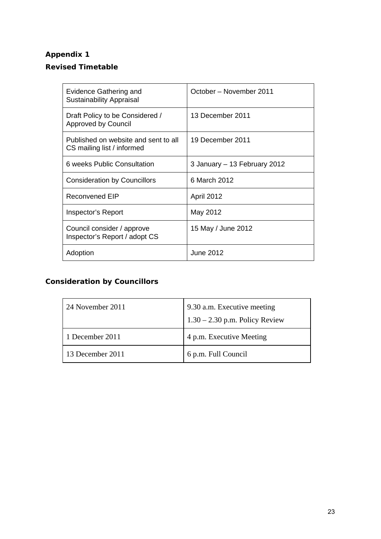#### **Revised Timetable**

| Evidence Gathering and<br><b>Sustainability Appraisal</b>          | October – November 2011      |
|--------------------------------------------------------------------|------------------------------|
| Draft Policy to be Considered /<br>Approved by Council             | 13 December 2011             |
| Published on website and sent to all<br>CS mailing list / informed | 19 December 2011             |
| 6 weeks Public Consultation                                        | 3 January - 13 February 2012 |
| <b>Consideration by Councillors</b>                                | 6 March 2012                 |
| <b>Reconvened EIP</b>                                              | <b>April 2012</b>            |
| Inspector's Report                                                 | May 2012                     |
| Council consider / approve<br>Inspector's Report / adopt CS        | 15 May / June 2012           |
| Adoption                                                           | June 2012                    |

# **Consideration by Councillors**

| 24 November 2011 | 9.30 a.m. Executive meeting<br>$1.30 - 2.30$ p.m. Policy Review |
|------------------|-----------------------------------------------------------------|
| 1 December 2011  | 4 p.m. Executive Meeting                                        |
| 13 December 2011 | 6 p.m. Full Council                                             |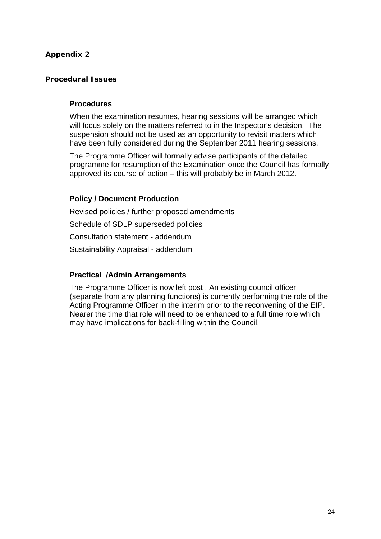#### **Procedural Issues**

#### **Procedures**

When the examination resumes, hearing sessions will be arranged which will focus solely on the matters referred to in the Inspector's decision. The suspension should not be used as an opportunity to revisit matters which have been fully considered during the September 2011 hearing sessions.

The Programme Officer will formally advise participants of the detailed programme for resumption of the Examination once the Council has formally approved its course of action – this will probably be in March 2012.

#### **Policy / Document Production**

Revised policies / further proposed amendments Schedule of SDLP superseded policies Consultation statement - addendum Sustainability Appraisal - addendum

#### **Practical /Admin Arrangements**

The Programme Officer is now left post . An existing council officer (separate from any planning functions) is currently performing the role of the Acting Programme Officer in the interim prior to the reconvening of the EIP. Nearer the time that role will need to be enhanced to a full time role which may have implications for back-filling within the Council.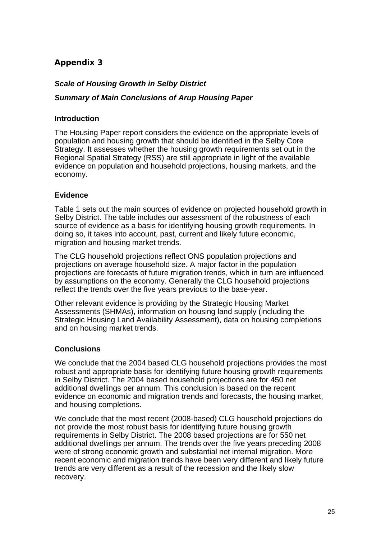#### *Scale of Housing Growth in Selby District*

#### *Summary of Main Conclusions of Arup Housing Paper*

#### **Introduction**

The Housing Paper report considers the evidence on the appropriate levels of population and housing growth that should be identified in the Selby Core Strategy. It assesses whether the housing growth requirements set out in the Regional Spatial Strategy (RSS) are still appropriate in light of the available evidence on population and household projections, housing markets, and the economy.

#### **Evidence**

Table 1 sets out the main sources of evidence on projected household growth in Selby District. The table includes our assessment of the robustness of each source of evidence as a basis for identifying housing growth requirements. In doing so, it takes into account, past, current and likely future economic, migration and housing market trends.

The CLG household projections reflect ONS population projections and projections on average household size. A major factor in the population projections are forecasts of future migration trends, which in turn are influenced by assumptions on the economy. Generally the CLG household projections reflect the trends over the five years previous to the base-year.

Other relevant evidence is providing by the Strategic Housing Market Assessments (SHMAs), information on housing land supply (including the Strategic Housing Land Availability Assessment), data on housing completions and on housing market trends.

#### **Conclusions**

We conclude that the 2004 based CLG household projections provides the most robust and appropriate basis for identifying future housing growth requirements in Selby District. The 2004 based household projections are for 450 net additional dwellings per annum. This conclusion is based on the recent evidence on economic and migration trends and forecasts, the housing market, and housing completions.

We conclude that the most recent (2008-based) CLG household projections do not provide the most robust basis for identifying future housing growth requirements in Selby District. The 2008 based projections are for 550 net additional dwellings per annum. The trends over the five years preceding 2008 were of strong economic growth and substantial net internal migration. More recent economic and migration trends have been very different and likely future trends are very different as a result of the recession and the likely slow recovery.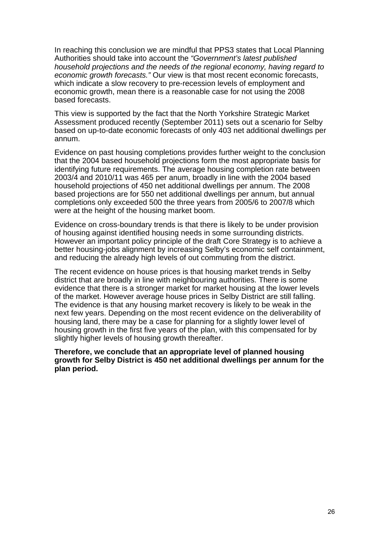In reaching this conclusion we are mindful that PPS3 states that Local Planning Authorities should take into account the *"Government's latest published household projections and the needs of the regional economy, having regard to economic growth forecasts."* Our view is that most recent economic forecasts, which indicate a slow recovery to pre-recession levels of employment and economic growth, mean there is a reasonable case for not using the 2008 based forecasts.

This view is supported by the fact that the North Yorkshire Strategic Market Assessment produced recently (September 2011) sets out a scenario for Selby based on up-to-date economic forecasts of only 403 net additional dwellings per annum.

Evidence on past housing completions provides further weight to the conclusion that the 2004 based household projections form the most appropriate basis for identifying future requirements. The average housing completion rate between 2003/4 and 2010/11 was 465 per anum, broadly in line with the 2004 based household projections of 450 net additional dwellings per annum. The 2008 based projections are for 550 net additional dwellings per annum, but annual completions only exceeded 500 the three years from 2005/6 to 2007/8 which were at the height of the housing market boom.

Evidence on cross-boundary trends is that there is likely to be under provision of housing against identified housing needs in some surrounding districts. However an important policy principle of the draft Core Strategy is to achieve a better housing-jobs alignment by increasing Selby's economic self containment, and reducing the already high levels of out commuting from the district.

The recent evidence on house prices is that housing market trends in Selby district that are broadly in line with neighbouring authorities. There is some evidence that there is a stronger market for market housing at the lower levels of the market. However average house prices in Selby District are still falling. The evidence is that any housing market recovery is likely to be weak in the next few years. Depending on the most recent evidence on the deliverability of housing land, there may be a case for planning for a slightly lower level of housing growth in the first five years of the plan, with this compensated for by slightly higher levels of housing growth thereafter.

**Therefore, we conclude that an appropriate level of planned housing growth for Selby District is 450 net additional dwellings per annum for the plan period.**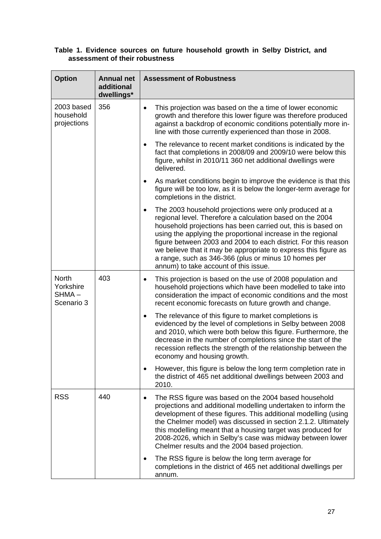#### **Table 1. Evidence sources on future household growth in Selby District, and assessment of their robustness**

| <b>Option</b>                                    | <b>Annual net</b><br>additional<br>dwellings* | <b>Assessment of Robustness</b>                                                                                                                                                                                                                                                                                                                                                                                                                                                                |
|--------------------------------------------------|-----------------------------------------------|------------------------------------------------------------------------------------------------------------------------------------------------------------------------------------------------------------------------------------------------------------------------------------------------------------------------------------------------------------------------------------------------------------------------------------------------------------------------------------------------|
| 2003 based<br>household<br>projections           | 356                                           | This projection was based on the a time of lower economic<br>$\bullet$<br>growth and therefore this lower figure was therefore produced<br>against a backdrop of economic conditions potentially more in-<br>line with those currently experienced than those in 2008.                                                                                                                                                                                                                         |
|                                                  |                                               | The relevance to recent market conditions is indicated by the<br>٠<br>fact that completions in 2008/09 and 2009/10 were below this<br>figure, whilst in 2010/11 360 net additional dwellings were<br>delivered.                                                                                                                                                                                                                                                                                |
|                                                  |                                               | As market conditions begin to improve the evidence is that this<br>٠<br>figure will be too low, as it is below the longer-term average for<br>completions in the district.                                                                                                                                                                                                                                                                                                                     |
|                                                  |                                               | The 2003 household projections were only produced at a<br>٠<br>regional level. Therefore a calculation based on the 2004<br>household projections has been carried out, this is based on<br>using the applying the proportional increase in the regional<br>figure between 2003 and 2004 to each district. For this reason<br>we believe that it may be appropriate to express this figure as<br>a range, such as 346-366 (plus or minus 10 homes per<br>annum) to take account of this issue. |
| <b>North</b><br>Yorkshire<br>SHMA-<br>Scenario 3 | 403                                           | This projection is based on the use of 2008 population and<br>$\bullet$<br>household projections which have been modelled to take into<br>consideration the impact of economic conditions and the most<br>recent economic forecasts on future growth and change.                                                                                                                                                                                                                               |
|                                                  |                                               | The relevance of this figure to market completions is<br>٠<br>evidenced by the level of completions in Selby between 2008<br>and 2010, which were both below this figure. Furthermore, the<br>decrease in the number of completions since the start of the<br>recession reflects the strength of the relationship between the<br>economy and housing growth.                                                                                                                                   |
|                                                  |                                               | However, this figure is below the long term completion rate in<br>٠<br>the district of 465 net additional dwellings between 2003 and<br>2010.                                                                                                                                                                                                                                                                                                                                                  |
| <b>RSS</b>                                       | 440                                           | The RSS figure was based on the 2004 based household<br>projections and additional modelling undertaken to inform the<br>development of these figures. This additional modelling (using<br>the Chelmer model) was discussed in section 2.1.2. Ultimately<br>this modelling meant that a housing target was produced for<br>2008-2026, which in Selby's case was midway between lower<br>Chelmer results and the 2004 based projection.                                                         |
|                                                  |                                               | The RSS figure is below the long term average for<br>٠<br>completions in the district of 465 net additional dwellings per<br>annum.                                                                                                                                                                                                                                                                                                                                                            |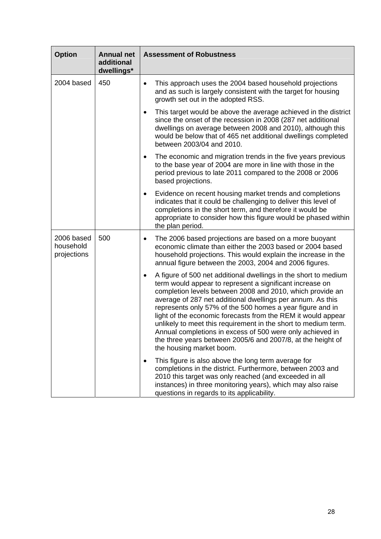| <b>Option</b>                          | <b>Annual net</b><br>additional<br>dwellings* | <b>Assessment of Robustness</b>                                                                                                                                                                                                                                                                                                                                                                                                                                                                                                                                                                                    |
|----------------------------------------|-----------------------------------------------|--------------------------------------------------------------------------------------------------------------------------------------------------------------------------------------------------------------------------------------------------------------------------------------------------------------------------------------------------------------------------------------------------------------------------------------------------------------------------------------------------------------------------------------------------------------------------------------------------------------------|
| 2004 based                             | 450                                           | This approach uses the 2004 based household projections<br>and as such is largely consistent with the target for housing<br>growth set out in the adopted RSS.                                                                                                                                                                                                                                                                                                                                                                                                                                                     |
|                                        |                                               | This target would be above the average achieved in the district<br>since the onset of the recession in 2008 (287 net additional<br>dwellings on average between 2008 and 2010), although this<br>would be below that of 465 net additional dwellings completed<br>between 2003/04 and 2010.                                                                                                                                                                                                                                                                                                                        |
|                                        |                                               | The economic and migration trends in the five years previous<br>to the base year of 2004 are more in line with those in the<br>period previous to late 2011 compared to the 2008 or 2006<br>based projections.                                                                                                                                                                                                                                                                                                                                                                                                     |
|                                        |                                               | Evidence on recent housing market trends and completions<br>٠<br>indicates that it could be challenging to deliver this level of<br>completions in the short term, and therefore it would be<br>appropriate to consider how this figure would be phased within<br>the plan period.                                                                                                                                                                                                                                                                                                                                 |
| 2006 based<br>household<br>projections | 500                                           | The 2006 based projections are based on a more buoyant<br>٠<br>economic climate than either the 2003 based or 2004 based<br>household projections. This would explain the increase in the<br>annual figure between the 2003, 2004 and 2006 figures.                                                                                                                                                                                                                                                                                                                                                                |
|                                        |                                               | A figure of 500 net additional dwellings in the short to medium<br>٠<br>term would appear to represent a significant increase on<br>completion levels between 2008 and 2010, which provide an<br>average of 287 net additional dwellings per annum. As this<br>represents only 57% of the 500 homes a year figure and in<br>light of the economic forecasts from the REM it would appear<br>unlikely to meet this requirement in the short to medium term.<br>Annual completions in excess of 500 were only achieved in<br>the three years between 2005/6 and 2007/8, at the height of<br>the housing market boom. |
|                                        |                                               | This figure is also above the long term average for<br>completions in the district. Furthermore, between 2003 and<br>2010 this target was only reached (and exceeded in all<br>instances) in three monitoring years), which may also raise<br>questions in regards to its applicability.                                                                                                                                                                                                                                                                                                                           |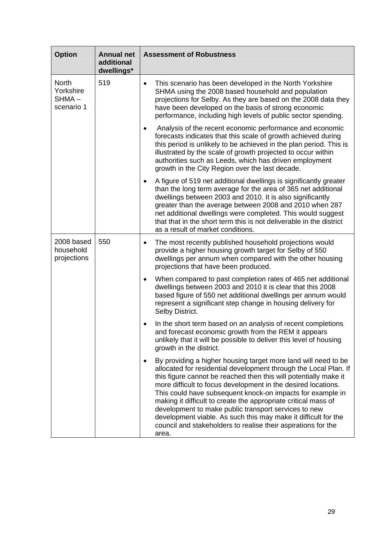| <b>Option</b>                                    | <b>Annual net</b><br>additional<br>dwellings* | <b>Assessment of Robustness</b>                                                                                                                                                                                                                                                                                                                                                                                                                                                                                                                                                                                          |  |                                                                                                                                                                                                                                                                                                                      |
|--------------------------------------------------|-----------------------------------------------|--------------------------------------------------------------------------------------------------------------------------------------------------------------------------------------------------------------------------------------------------------------------------------------------------------------------------------------------------------------------------------------------------------------------------------------------------------------------------------------------------------------------------------------------------------------------------------------------------------------------------|--|----------------------------------------------------------------------------------------------------------------------------------------------------------------------------------------------------------------------------------------------------------------------------------------------------------------------|
| <b>North</b><br>Yorkshire<br>SHMA-<br>scenario 1 | 519                                           |                                                                                                                                                                                                                                                                                                                                                                                                                                                                                                                                                                                                                          |  | This scenario has been developed in the North Yorkshire<br>$\bullet$<br>SHMA using the 2008 based household and population<br>projections for Selby. As they are based on the 2008 data they<br>have been developed on the basis of strong economic<br>performance, including high levels of public sector spending. |
|                                                  |                                               | Analysis of the recent economic performance and economic<br>$\bullet$<br>forecasts indicates that this scale of growth achieved during<br>this period is unlikely to be achieved in the plan period. This is<br>illustrated by the scale of growth projected to occur within<br>authorities such as Leeds, which has driven employment<br>growth in the City Region over the last decade.                                                                                                                                                                                                                                |  |                                                                                                                                                                                                                                                                                                                      |
|                                                  |                                               | A figure of 519 net additional dwellings is significantly greater<br>٠<br>than the long term average for the area of 365 net additional<br>dwellings between 2003 and 2010. It is also significantly<br>greater than the average between 2008 and 2010 when 287<br>net additional dwellings were completed. This would suggest<br>that that in the short term this is not deliverable in the district<br>as a result of market conditions.                                                                                                                                                                               |  |                                                                                                                                                                                                                                                                                                                      |
| 550<br>2008 based<br>household<br>projections    |                                               | The most recently published household projections would<br>٠<br>provide a higher housing growth target for Selby of 550<br>dwellings per annum when compared with the other housing<br>projections that have been produced.                                                                                                                                                                                                                                                                                                                                                                                              |  |                                                                                                                                                                                                                                                                                                                      |
|                                                  |                                               | When compared to past completion rates of 465 net additional<br>$\bullet$<br>dwellings between 2003 and 2010 it is clear that this 2008<br>based figure of 550 net additional dwellings per annum would<br>represent a significant step change in housing delivery for<br>Selby District.                                                                                                                                                                                                                                                                                                                                |  |                                                                                                                                                                                                                                                                                                                      |
|                                                  |                                               | In the short term based on an analysis of recent completions<br>and forecast economic growth from the REM it appears<br>unlikely that it will be possible to deliver this level of housing<br>growth in the district.                                                                                                                                                                                                                                                                                                                                                                                                    |  |                                                                                                                                                                                                                                                                                                                      |
|                                                  |                                               | By providing a higher housing target more land will need to be<br>$\bullet$<br>allocated for residential development through the Local Plan. If<br>this figure cannot be reached then this will potentially make it<br>more difficult to focus development in the desired locations.<br>This could have subsequent knock-on impacts for example in<br>making it difficult to create the appropriate critical mass of<br>development to make public transport services to new<br>development viable. As such this may make it difficult for the<br>council and stakeholders to realise their aspirations for the<br>area. |  |                                                                                                                                                                                                                                                                                                                      |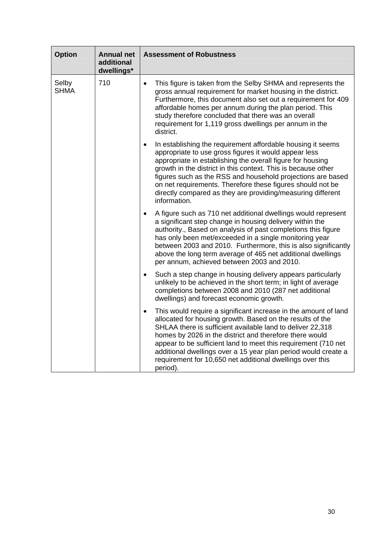| <b>Option</b>        | <b>Annual net</b><br>additional<br>dwellings* | <b>Assessment of Robustness</b>                                                                                                                                                                                                                                                                                                                                                                                                                                                 |
|----------------------|-----------------------------------------------|---------------------------------------------------------------------------------------------------------------------------------------------------------------------------------------------------------------------------------------------------------------------------------------------------------------------------------------------------------------------------------------------------------------------------------------------------------------------------------|
| Selby<br><b>SHMA</b> | 710                                           | This figure is taken from the Selby SHMA and represents the<br>$\bullet$<br>gross annual requirement for market housing in the district.<br>Furthermore, this document also set out a requirement for 409<br>affordable homes per annum during the plan period. This<br>study therefore concluded that there was an overall<br>requirement for 1,119 gross dwellings per annum in the<br>district.                                                                              |
|                      |                                               | In establishing the requirement affordable housing it seems<br>$\bullet$<br>appropriate to use gross figures it would appear less<br>appropriate in establishing the overall figure for housing<br>growth in the district in this context. This is because other<br>figures such as the RSS and household projections are based<br>on net requirements. Therefore these figures should not be<br>directly compared as they are providing/measuring different<br>information.    |
|                      |                                               | A figure such as 710 net additional dwellings would represent<br>$\bullet$<br>a significant step change in housing delivery within the<br>authority., Based on analysis of past completions this figure<br>has only been met/exceeded in a single monitoring year<br>between 2003 and 2010. Furthermore, this is also significantly<br>above the long term average of 465 net additional dwellings<br>per annum, achieved between 2003 and 2010.                                |
|                      |                                               | Such a step change in housing delivery appears particularly<br>$\bullet$<br>unlikely to be achieved in the short term; in light of average<br>completions between 2008 and 2010 (287 net additional<br>dwellings) and forecast economic growth.                                                                                                                                                                                                                                 |
|                      |                                               | This would require a significant increase in the amount of land<br>$\bullet$<br>allocated for housing growth. Based on the results of the<br>SHLAA there is sufficient available land to deliver 22,318<br>homes by 2026 in the district and therefore there would<br>appear to be sufficient land to meet this requirement (710 net<br>additional dwellings over a 15 year plan period would create a<br>requirement for 10,650 net additional dwellings over this<br>period). |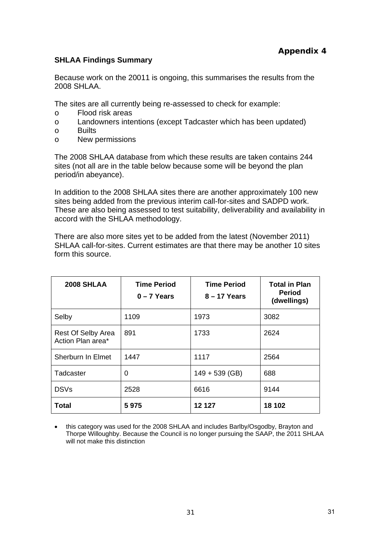#### **SHLAA Findings Summary**

Because work on the 20011 is ongoing, this summarises the results from the 2008 SHLAA.

The sites are all currently being re-assessed to check for example:

- o Flood risk areas
- o Landowners intentions (except Tadcaster which has been updated)
- o Builts
- o New permissions

The 2008 SHLAA database from which these results are taken contains 244 sites (not all are in the table below because some will be beyond the plan period/in abeyance).

In addition to the 2008 SHLAA sites there are another approximately 100 new sites being added from the previous interim call-for-sites and SADPD work. These are also being assessed to test suitability, deliverability and availability in accord with the SHLAA methodology.

There are also more sites yet to be added from the latest (November 2011) SHLAA call-for-sites. Current estimates are that there may be another 10 sites form this source.

| <b>2008 SHLAA</b>                       | <b>Time Period</b><br>$0 - 7$ Years | <b>Time Period</b><br>$8 - 17$ Years | <b>Total in Plan</b><br><b>Period</b><br>(dwellings) |
|-----------------------------------------|-------------------------------------|--------------------------------------|------------------------------------------------------|
| Selby                                   | 1109                                | 1973                                 | 3082                                                 |
| Rest Of Selby Area<br>Action Plan area* | 891                                 | 1733                                 | 2624                                                 |
| Sherburn In Elmet                       | 1447                                | 1117                                 | 2564                                                 |
| Tadcaster                               | 0                                   | $149 + 539$ (GB)                     | 688                                                  |
| <b>DSVs</b>                             | 2528                                | 6616                                 | 9144                                                 |
| Total                                   | 5975                                | 12 127                               | 18 102                                               |

• this category was used for the 2008 SHLAA and includes Barlby/Osgodby, Brayton and Thorpe Willoughby. Because the Council is no longer pursuing the SAAP, the 2011 SHLAA will not make this distinction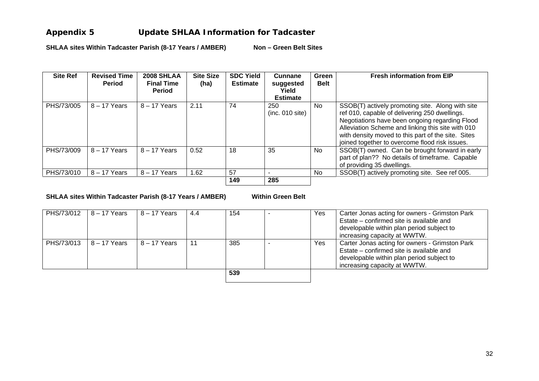### **Appendix 5 Update SHLAA Information for Tadcaster**

SHLAA sites Within Tadcaster Parish (8-17 Years / AMBER) Non - Green Belt Sites

| <b>Site Ref</b> | <b>Revised Time</b><br><b>Period</b> | <b>2008 SHLAA</b><br><b>Final Time</b><br><b>Period</b> | <b>Site Size</b><br>(ha) | <b>SDC Yield</b><br><b>Estimate</b> | Cunnane<br>suggested<br>Yield             | Green<br><b>Belt</b> | <b>Fresh information from EIP</b>                                                                                                                                                                                                                                                                                |
|-----------------|--------------------------------------|---------------------------------------------------------|--------------------------|-------------------------------------|-------------------------------------------|----------------------|------------------------------------------------------------------------------------------------------------------------------------------------------------------------------------------------------------------------------------------------------------------------------------------------------------------|
| PHS/73/005      | $8 - 17$ Years                       | $8 - 17$ Years                                          | 2.11                     | 74                                  | <b>Estimate</b><br>250<br>(inc. 010 site) | No.                  | SSOB(T) actively promoting site. Along with site<br>ref 010, capable of delivering 250 dwellings.<br>Negotiations have been ongoing regarding Flood<br>Alleviation Scheme and linking this site with 010<br>with density moved to this part of the site. Sites<br>joined together to overcome flood risk issues. |
| PHS/73/009      | $8 - 17$ Years                       | $8 - 17$ Years                                          | 0.52                     | 18                                  | 35                                        | No.                  | SSOB(T) owned. Can be brought forward in early<br>part of plan?? No details of timeframe. Capable<br>of providing 35 dwellings.                                                                                                                                                                                  |
| PHS/73/010      | $8 - 17$ Years                       | $8 - 17$ Years                                          | 1.62                     | 57                                  |                                           | No.                  | SSOB(T) actively promoting site. See ref 005.                                                                                                                                                                                                                                                                    |
|                 |                                      |                                                         |                          | 149                                 | 285                                       |                      |                                                                                                                                                                                                                                                                                                                  |

SHLAA sites Within Tadcaster Parish (8-17 Years / AMBER) Within Green Belt

| PHS/73/012 | $18 - 17$ Years | $8 - 17$ Years | 4.4 | 154 | <b>Yes</b> | Carter Jonas acting for owners - Grimston Park |
|------------|-----------------|----------------|-----|-----|------------|------------------------------------------------|
|            |                 |                |     |     |            | Estate – confirmed site is available and       |
|            |                 |                |     |     |            | developable within plan period subject to      |
|            |                 |                |     |     |            | increasing capacity at WWTW.                   |
| PHS/73/013 | 8 – 17 Years    | $8 - 17$ Years | 11  | 385 | Yes        | Carter Jonas acting for owners - Grimston Park |
|            |                 |                |     |     |            | Estate – confirmed site is available and       |
|            |                 |                |     |     |            | developable within plan period subject to      |
|            |                 |                |     |     |            | increasing capacity at WWTW.                   |
|            |                 |                |     | 539 |            |                                                |
|            |                 |                |     |     |            |                                                |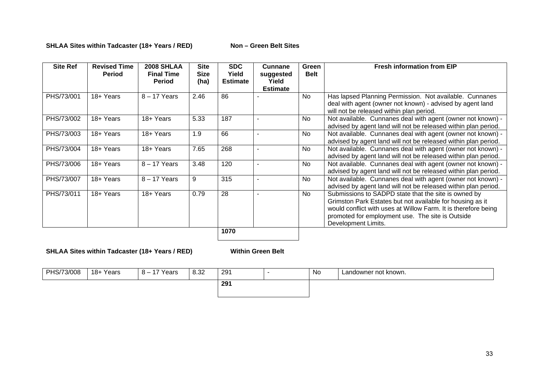#### SHLAA Sites within Tadcaster (18+ Years / RED) Non - Green Belt Sites

|            | <b>Revised Time</b><br><b>Period</b> | <b>2008 SHLAA</b><br><b>Final Time</b><br><b>Period</b> | <b>Site</b><br><b>Size</b><br>(ha) | <b>SDC</b><br>Yield<br><b>Estimate</b> | <b>Cunnane</b><br>suggested<br>Yield<br><b>Estimate</b> | Green<br><b>Belt</b> | <b>Fresh information from EIP</b>                                                                                                                                                                                                                              |
|------------|--------------------------------------|---------------------------------------------------------|------------------------------------|----------------------------------------|---------------------------------------------------------|----------------------|----------------------------------------------------------------------------------------------------------------------------------------------------------------------------------------------------------------------------------------------------------------|
| PHS/73/001 | 18+ Years                            | $8 - 17$ Years                                          | 2.46                               | 86                                     |                                                         | N <sub>o</sub>       | Has lapsed Planning Permission. Not available. Cunnanes<br>deal with agent (owner not known) - advised by agent land<br>will not be released within plan period.                                                                                               |
| PHS/73/002 | 18+ Years                            | 18+ Years                                               | 5.33                               | 187                                    |                                                         | <b>No</b>            | Not available. Cunnanes deal with agent (owner not known) -<br>advised by agent land will not be released within plan period.                                                                                                                                  |
| PHS/73/003 | 18+ Years                            | 18+ Years                                               | 1.9                                | 66                                     |                                                         | No.                  | Not available. Cunnanes deal with agent (owner not known) -<br>advised by agent land will not be released within plan period.                                                                                                                                  |
| PHS/73/004 | 18+ Years                            | 18+ Years                                               | 7.65                               | 268                                    | ٠                                                       | No.                  | Not available. Cunnanes deal with agent (owner not known) -<br>advised by agent land will not be released within plan period.                                                                                                                                  |
| PHS/73/006 | 18+ Years                            | $8 - 17$ Years                                          | 3.48                               | 120                                    |                                                         | No                   | Not available. Cunnanes deal with agent (owner not known) -<br>advised by agent land will not be released within plan period.                                                                                                                                  |
| PHS/73/007 | 18+ Years                            | $8 - 17$ Years                                          | 9                                  | 315                                    |                                                         | No                   | Not available. Cunnanes deal with agent (owner not known) -<br>advised by agent land will not be released within plan period.                                                                                                                                  |
| PHS/73/011 | 18+ Years                            | 18+ Years                                               | 0.79                               | 28                                     |                                                         | N <sub>o</sub>       | Submissions to SADPD state that the site is owned by<br>Grimston Park Estates but not available for housing as it<br>would conflict with uses at Willow Farm. It is therefore being<br>promoted for employment use. The site is Outside<br>Development Limits. |

**SHLAA Sites within Tadcaster (18+ Years / RED) Within Green Belt**

| PHS/73/008 | 18+ Years | 17 Vaare<br>.  —<br>. cai ∂ | 8.32 | 291 | No | Landowner not known. |
|------------|-----------|-----------------------------|------|-----|----|----------------------|
|            |           |                             |      | 291 |    |                      |
|            |           |                             |      |     |    |                      |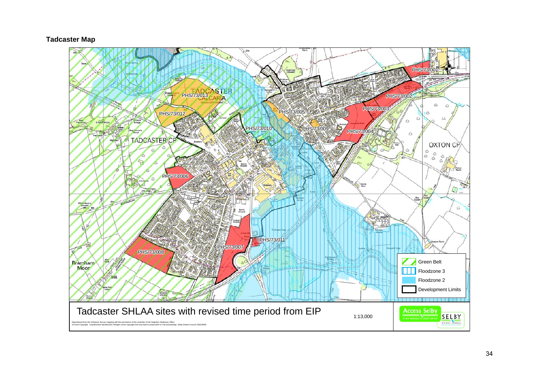#### **Tadcaster Map**

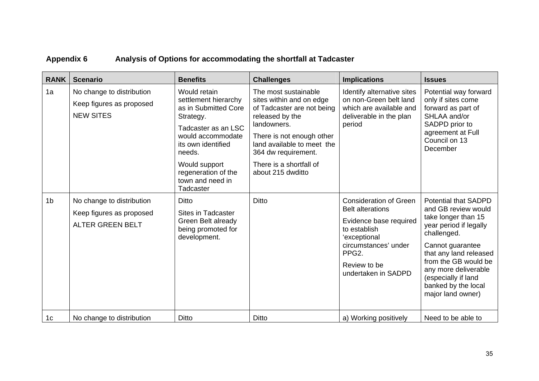# **Appendix 6 Analysis of Options for accommodating the shortfall at Tadcaster**

| <b>RANK</b>    | <b>Scenario</b>                                                                  | <b>Benefits</b>                                                                                                                                                                                                                | <b>Challenges</b>                                                                                                                                                                                                                                  | <b>Implications</b>                                                                                                                                                                                     | <b>Issues</b>                                                                                                                                                                                                                                                                       |
|----------------|----------------------------------------------------------------------------------|--------------------------------------------------------------------------------------------------------------------------------------------------------------------------------------------------------------------------------|----------------------------------------------------------------------------------------------------------------------------------------------------------------------------------------------------------------------------------------------------|---------------------------------------------------------------------------------------------------------------------------------------------------------------------------------------------------------|-------------------------------------------------------------------------------------------------------------------------------------------------------------------------------------------------------------------------------------------------------------------------------------|
| 1a             | No change to distribution<br>Keep figures as proposed<br><b>NEW SITES</b>        | Would retain<br>settlement hierarchy<br>as in Submitted Core<br>Strategy.<br>Tadcaster as an LSC<br>would accommodate<br>its own identified<br>needs.<br>Would support<br>regeneration of the<br>town and need in<br>Tadcaster | The most sustainable<br>sites within and on edge<br>of Tadcaster are not being<br>released by the<br>landowners.<br>There is not enough other<br>land available to meet the<br>364 dw requirement.<br>There is a shortfall of<br>about 215 dwditto | Identify alternative sites<br>on non-Green belt land<br>which are available and<br>deliverable in the plan<br>period                                                                                    | Potential way forward<br>only if sites come<br>forward as part of<br>SHLAA and/or<br>SADPD prior to<br>agreement at Full<br>Council on 13<br>December                                                                                                                               |
| 1 <sub>b</sub> | No change to distribution<br>Keep figures as proposed<br><b>ALTER GREEN BELT</b> | Ditto<br>Sites in Tadcaster<br>Green Belt already<br>being promoted for<br>development.                                                                                                                                        | Ditto                                                                                                                                                                                                                                              | <b>Consideration of Green</b><br><b>Belt alterations</b><br>Evidence base required<br>to establish<br>'exceptional<br>circumstances' under<br>PPG <sub>2</sub> .<br>Review to be<br>undertaken in SADPD | <b>Potential that SADPD</b><br>and GB review would<br>take longer than 15<br>year period if legally<br>challenged.<br>Cannot guarantee<br>that any land released<br>from the GB would be<br>any more deliverable<br>(especially if land<br>banked by the local<br>major land owner) |
| 1 <sub>c</sub> | No change to distribution                                                        | Ditto                                                                                                                                                                                                                          | Ditto                                                                                                                                                                                                                                              | a) Working positively                                                                                                                                                                                   | Need to be able to                                                                                                                                                                                                                                                                  |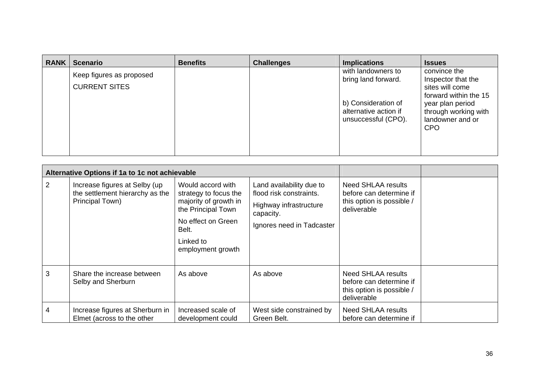| <b>RANK</b> | <b>Scenario</b>                                  | <b>Benefits</b> | <b>Challenges</b> | <b>Implications</b>                                                 | <b>Issues</b>                                                                  |
|-------------|--------------------------------------------------|-----------------|-------------------|---------------------------------------------------------------------|--------------------------------------------------------------------------------|
|             | Keep figures as proposed<br><b>CURRENT SITES</b> |                 |                   | with landowners to<br>bring land forward.                           | convince the<br>Inspector that the<br>sites will come<br>forward within the 15 |
|             |                                                  |                 |                   | b) Consideration of<br>alternative action if<br>unsuccessful (CPO). | year plan period<br>through working with<br>landowner and or<br><b>CPO</b>     |

|   | Alternative Options if 1a to 1c not achievable                                      |                                                                                                                                                            |                                                                                                                         |                                                                                           |  |
|---|-------------------------------------------------------------------------------------|------------------------------------------------------------------------------------------------------------------------------------------------------------|-------------------------------------------------------------------------------------------------------------------------|-------------------------------------------------------------------------------------------|--|
| 2 | Increase figures at Selby (up<br>the settlement hierarchy as the<br>Principal Town) | Would accord with<br>strategy to focus the<br>majority of growth in<br>the Principal Town<br>No effect on Green<br>Belt.<br>Linked to<br>employment growth | Land availability due to<br>flood risk constraints.<br>Highway infrastructure<br>capacity.<br>Ignores need in Tadcaster | Need SHLAA results<br>before can determine if<br>this option is possible /<br>deliverable |  |
| 3 | Share the increase between<br>Selby and Sherburn                                    | As above                                                                                                                                                   | As above                                                                                                                | Need SHLAA results<br>before can determine if<br>this option is possible /<br>deliverable |  |
| 4 | Increase figures at Sherburn in<br>Elmet (across to the other                       | Increased scale of<br>development could                                                                                                                    | West side constrained by<br>Green Belt.                                                                                 | <b>Need SHLAA results</b><br>before can determine if                                      |  |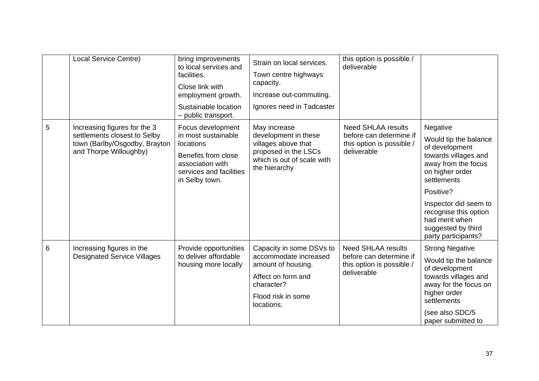|   | <b>Local Service Centre)</b>                                                                                            | bring improvements<br>to local services and<br>facilities.<br>Close link with<br>employment growth.<br>Sustainable location<br>public transport. | Strain on local services.<br>Town centre highways<br>capacity.<br>Increase out-commuting.<br>Ignores need in Tadcaster                          | this option is possible /<br>deliverable                                                         |                                                                                                                                                                                                                                                                    |
|---|-------------------------------------------------------------------------------------------------------------------------|--------------------------------------------------------------------------------------------------------------------------------------------------|-------------------------------------------------------------------------------------------------------------------------------------------------|--------------------------------------------------------------------------------------------------|--------------------------------------------------------------------------------------------------------------------------------------------------------------------------------------------------------------------------------------------------------------------|
| 5 | Increasing figures for the 3<br>settlements closest to Selby<br>town (Barlby/Osgodby, Brayton<br>and Thorpe Willoughby) | Focus development<br>in most sustainable<br>locations<br>Benefits from close<br>association with<br>services and facilities<br>in Selby town.    | May increase<br>development in these<br>villages above that<br>proposed in the LSCs<br>which is out of scale with<br>the hierarchy              | <b>Need SHLAA results</b><br>before can determine if<br>this option is possible /<br>deliverable | Negative<br>Would tip the balance<br>of development<br>towards villages and<br>away from the focus<br>on higher order<br>settlements<br>Positive?<br>Inspector did seem to<br>recognise this option<br>had merit when<br>suggested by third<br>party participants? |
| 6 | Increasing figures in the<br><b>Designated Service Villages</b>                                                         | Provide opportunities<br>to deliver affordable<br>housing more locally                                                                           | Capacity in some DSVs to<br>accommodate increased<br>amount of housing.<br>Affect on form and<br>character?<br>Flood risk in some<br>locations. | <b>Need SHLAA results</b><br>before can determine if<br>this option is possible /<br>deliverable | <b>Strong Negative</b><br>Would tip the balance<br>of development<br>towards villages and<br>away for the focus on<br>higher order<br>settlements<br>(see also SDC/5<br>paper submitted to                                                                         |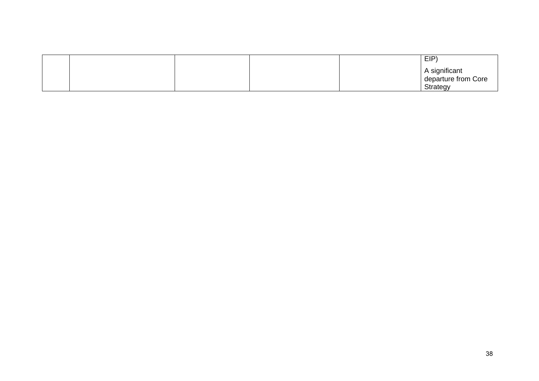|  |  | EIP                                  |
|--|--|--------------------------------------|
|  |  | A significant<br>departure from Core |
|  |  |                                      |
|  |  | Strategy                             |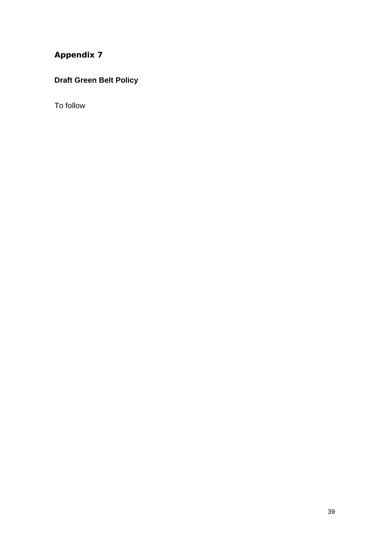### **Draft Green Belt Policy**

To follow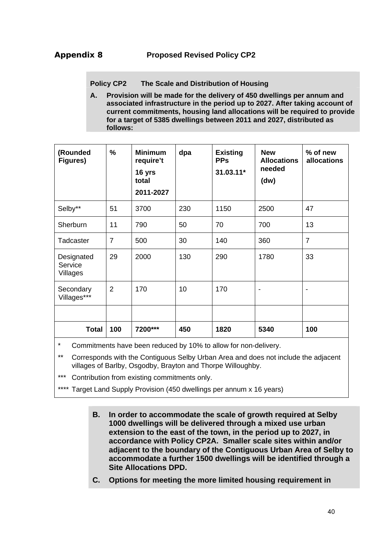**Policy CP2 The Scale and Distribution of Housing**

**A. Provision will be made for the delivery of 450 dwellings per annum and associated infrastructure in the period up to 2027. After taking account of current commitments, housing land allocations will be required to provide for a target of 5385 dwellings between 2011 and 2027, distributed as follows:** 

| (Rounded<br>Figures)              | %              | <b>Minimum</b><br>require't<br>16 yrs<br>total<br>2011-2027 | dpa | <b>Existing</b><br><b>PPs</b><br>31.03.11* | <b>New</b><br><b>Allocations</b><br>needed<br>(dw) | % of new<br><b>allocations</b> |
|-----------------------------------|----------------|-------------------------------------------------------------|-----|--------------------------------------------|----------------------------------------------------|--------------------------------|
| Selby**                           | 51             | 3700                                                        | 230 | 1150                                       | 2500                                               | 47                             |
| Sherburn                          | 11             | 790                                                         | 50  | 70                                         | 700                                                | 13                             |
| Tadcaster                         | $\overline{7}$ | 500                                                         | 30  | 140                                        | 360                                                | $\overline{7}$                 |
| Designated<br>Service<br>Villages | 29             | 2000                                                        | 130 | 290                                        | 1780                                               | 33                             |
| Secondary<br>Villages***          | $\overline{2}$ | 170                                                         | 10  | 170                                        | -                                                  | $\overline{\phantom{a}}$       |
|                                   |                |                                                             |     |                                            |                                                    |                                |
| <b>Total</b>                      | 100            | 7200***                                                     | 450 | 1820                                       | 5340                                               | 100                            |

Commitments have been reduced by 10% to allow for non-delivery.

\*\* Corresponds with the Contiguous Selby Urban Area and does not include the adjacent villages of Barlby, Osgodby, Brayton and Thorpe Willoughby.

\*\*\* Contribution from existing commitments only.

\*\*\*\* Target Land Supply Provision (450 dwellings per annum x 16 years)

**B. In order to accommodate the scale of growth required at Selby 1000 dwellings will be delivered through a mixed use urban extension to the east of the town, in the period up to 2027, in accordance with Policy CP2A. Smaller scale sites within and/or adjacent to the boundary of the Contiguous Urban Area of Selby to accommodate a further 1500 dwellings will be identified through a Site Allocations DPD.** 

**C. Options for meeting the more limited housing requirement in**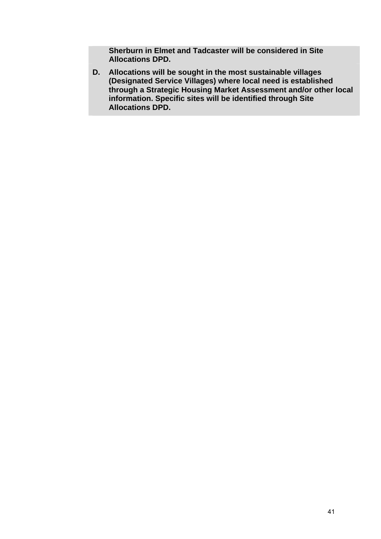**Sherburn in Elmet and Tadcaster will be considered in Site Allocations DPD.** 

**D. Allocations will be sought in the most sustainable villages (Designated Service Villages) where local need is established through a Strategic Housing Market Assessment and/or other local information. Specific sites will be identified through Site Allocations DPD.**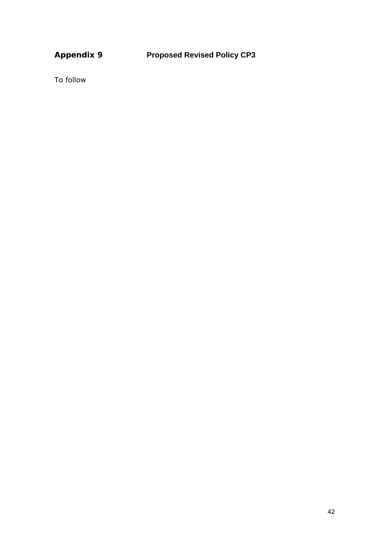To follow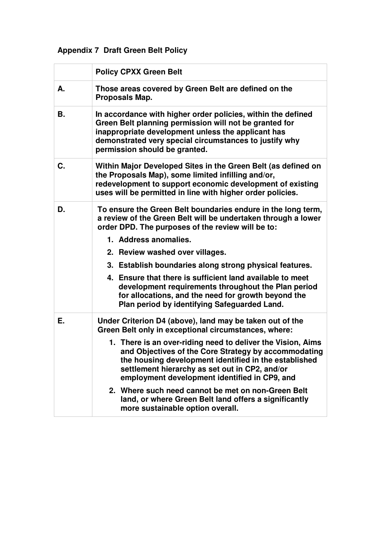# **Appendix 7 Draft Green Belt Policy**

|    | <b>Policy CPXX Green Belt</b>                                                                                                                                                                                                                                                                                                                                                                                                                                                                                                                          |
|----|--------------------------------------------------------------------------------------------------------------------------------------------------------------------------------------------------------------------------------------------------------------------------------------------------------------------------------------------------------------------------------------------------------------------------------------------------------------------------------------------------------------------------------------------------------|
| А. | Those areas covered by Green Belt are defined on the<br>Proposals Map.                                                                                                                                                                                                                                                                                                                                                                                                                                                                                 |
| В. | In accordance with higher order policies, within the defined<br>Green Belt planning permission will not be granted for<br>inappropriate development unless the applicant has<br>demonstrated very special circumstances to justify why<br>permission should be granted.                                                                                                                                                                                                                                                                                |
| C. | Within Major Developed Sites in the Green Belt (as defined on<br>the Proposals Map), some limited infilling and/or,<br>redevelopment to support economic development of existing<br>uses will be permitted in line with higher order policies.                                                                                                                                                                                                                                                                                                         |
| D. | To ensure the Green Belt boundaries endure in the long term,<br>a review of the Green Belt will be undertaken through a lower<br>order DPD. The purposes of the review will be to:<br>1. Address anomalies.<br>2. Review washed over villages.<br>3. Establish boundaries along strong physical features.<br>4. Ensure that there is sufficient land available to meet<br>development requirements throughout the Plan period<br>for allocations, and the need for growth beyond the<br>Plan period by identifying Safeguarded Land.                   |
| Е. | Under Criterion D4 (above), land may be taken out of the<br>Green Belt only in exceptional circumstances, where:<br>1. There is an over-riding need to deliver the Vision, Aims<br>and Objectives of the Core Strategy by accommodating<br>the housing development identified in the established<br>settlement hierarchy as set out in CP2, and/or<br>employment development identified in CP9, and<br>2. Where such need cannot be met on non-Green Belt<br>land, or where Green Belt land offers a significantly<br>more sustainable option overall. |